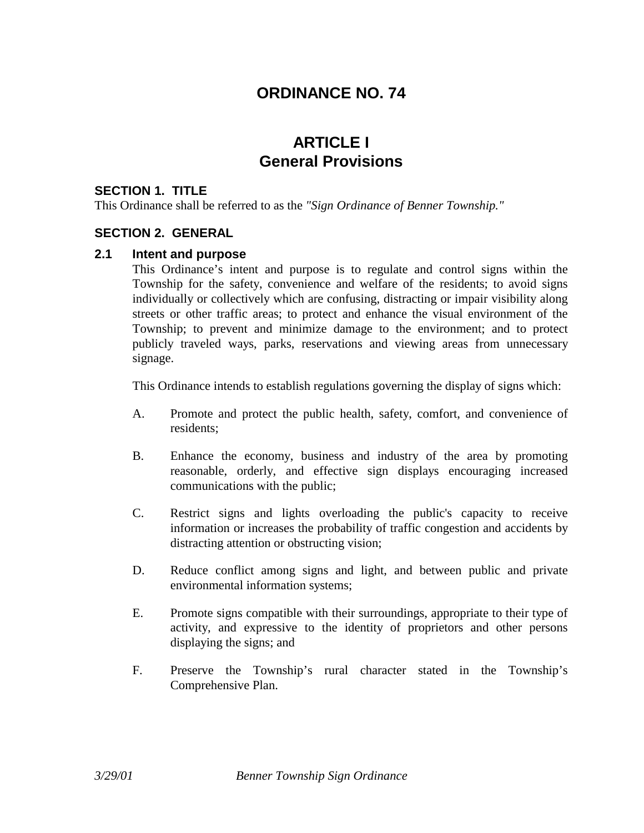## **ORDINANCE NO. 74**

## **ARTICLE I General Provisions**

#### **SECTION 1. TITLE**

This Ordinance shall be referred to as the *"Sign Ordinance of Benner Township."*

#### **SECTION 2. GENERAL**

#### **2.1 Intent and purpose**

This Ordinance's intent and purpose is to regulate and control signs within the Township for the safety, convenience and welfare of the residents; to avoid signs individually or collectively which are confusing, distracting or impair visibility along streets or other traffic areas; to protect and enhance the visual environment of the Township; to prevent and minimize damage to the environment; and to protect publicly traveled ways, parks, reservations and viewing areas from unnecessary signage.

This Ordinance intends to establish regulations governing the display of signs which:

- A. Promote and protect the public health, safety, comfort, and convenience of residents;
- B. Enhance the economy, business and industry of the area by promoting reasonable, orderly, and effective sign displays encouraging increased communications with the public;
- C. Restrict signs and lights overloading the public's capacity to receive information or increases the probability of traffic congestion and accidents by distracting attention or obstructing vision;
- D. Reduce conflict among signs and light, and between public and private environmental information systems;
- E. Promote signs compatible with their surroundings, appropriate to their type of activity, and expressive to the identity of proprietors and other persons displaying the signs; and
- F. Preserve the Township's rural character stated in the Township's Comprehensive Plan.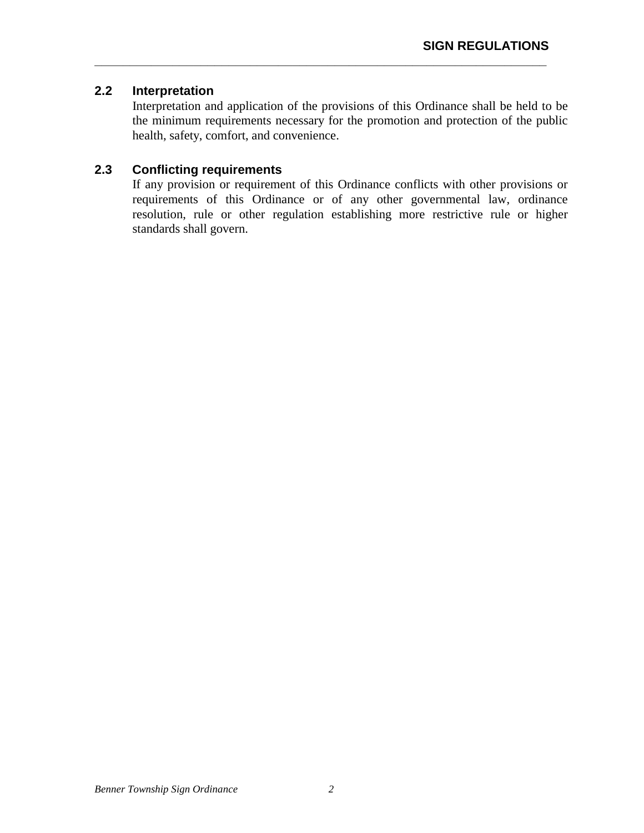## **2.2 Interpretation**

Interpretation and application of the provisions of this Ordinance shall be held to be the minimum requirements necessary for the promotion and protection of the public health, safety, comfort, and convenience.

**\_\_\_\_\_\_\_\_\_\_\_\_\_\_\_\_\_\_\_\_\_\_\_\_\_\_\_\_\_\_\_\_\_\_\_\_\_\_\_\_\_\_\_\_\_\_\_\_\_\_\_\_\_\_\_\_\_\_\_\_\_\_\_\_** 

## **2.3 Conflicting requirements**

If any provision or requirement of this Ordinance conflicts with other provisions or requirements of this Ordinance or of any other governmental law, ordinance resolution, rule or other regulation establishing more restrictive rule or higher standards shall govern.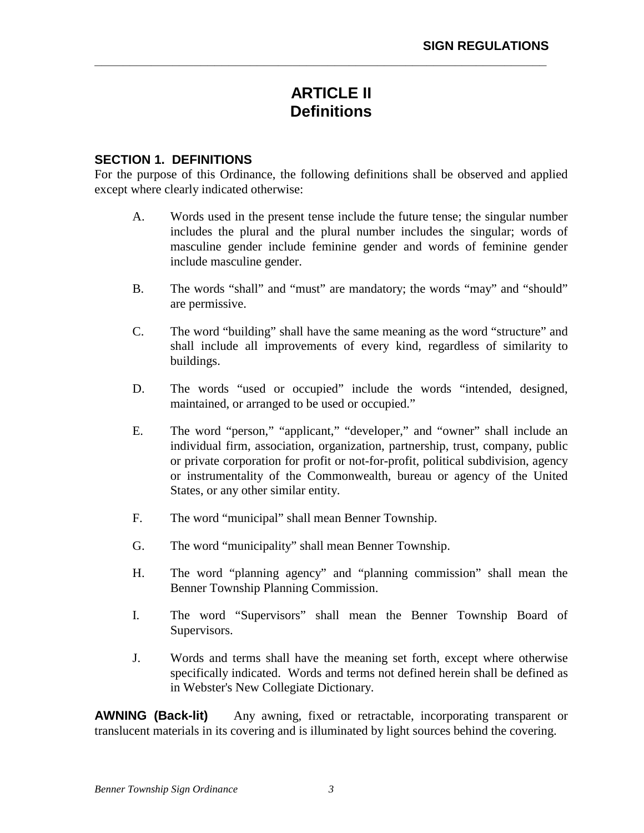# **ARTICLE II Definitions**

**\_\_\_\_\_\_\_\_\_\_\_\_\_\_\_\_\_\_\_\_\_\_\_\_\_\_\_\_\_\_\_\_\_\_\_\_\_\_\_\_\_\_\_\_\_\_\_\_\_\_\_\_\_\_\_\_\_\_\_\_\_\_\_\_** 

#### **SECTION 1. DEFINITIONS**

For the purpose of this Ordinance, the following definitions shall be observed and applied except where clearly indicated otherwise:

- A. Words used in the present tense include the future tense; the singular number includes the plural and the plural number includes the singular; words of masculine gender include feminine gender and words of feminine gender include masculine gender.
- B. The words "shall" and "must" are mandatory; the words "may" and "should" are permissive.
- C. The word "building" shall have the same meaning as the word "structure" and shall include all improvements of every kind, regardless of similarity to buildings.
- D. The words "used or occupied" include the words "intended, designed, maintained, or arranged to be used or occupied."
- E. The word "person," "applicant," "developer," and "owner" shall include an individual firm, association, organization, partnership, trust, company, public or private corporation for profit or not-for-profit, political subdivision, agency or instrumentality of the Commonwealth, bureau or agency of the United States, or any other similar entity.
- F. The word "municipal" shall mean Benner Township.
- G. The word "municipality" shall mean Benner Township.
- H. The word "planning agency" and "planning commission" shall mean the Benner Township Planning Commission.
- I. The word "Supervisors" shall mean the Benner Township Board of Supervisors.
- J. Words and terms shall have the meaning set forth, except where otherwise specifically indicated. Words and terms not defined herein shall be defined as in Webster's New Collegiate Dictionary.

**AWNING (Back-lit)** — Any awning, fixed or retractable, incorporating transparent or translucent materials in its covering and is illuminated by light sources behind the covering.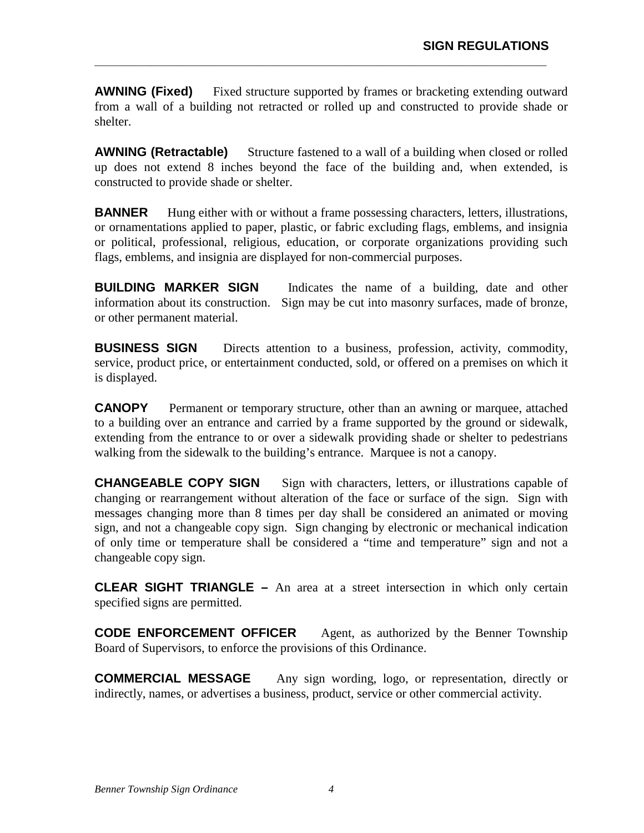**AWNING (Fixed)** — Fixed structure supported by frames or bracketing extending outward from a wall of a building not retracted or rolled up and constructed to provide shade or shelter.

**\_\_\_\_\_\_\_\_\_\_\_\_\_\_\_\_\_\_\_\_\_\_\_\_\_\_\_\_\_\_\_\_\_\_\_\_\_\_\_\_\_\_\_\_\_\_\_\_\_\_\_\_\_\_\_\_\_\_\_\_\_\_\_\_** 

**AWNING (Retractable)** — Structure fastened to a wall of a building when closed or rolled up does not extend 8 inches beyond the face of the building and, when extended, is constructed to provide shade or shelter.

**BANNER** — Hung either with or without a frame possessing characters, letters, illustrations, or ornamentations applied to paper, plastic, or fabric excluding flags, emblems, and insignia or political, professional, religious, education, or corporate organizations providing such flags, emblems, and insignia are displayed for non-commercial purposes.

**BUILDING MARKER SIGN** — Indicates the name of a building, date and other information about its construction. Sign may be cut into masonry surfaces, made of bronze, or other permanent material.

**BUSINESS SIGN** — Directs attention to a business, profession, activity, commodity, service, product price, or entertainment conducted, sold, or offered on a premises on which it is displayed.

**CANOPY** — Permanent or temporary structure, other than an awning or marquee, attached to a building over an entrance and carried by a frame supported by the ground or sidewalk, extending from the entrance to or over a sidewalk providing shade or shelter to pedestrians walking from the sidewalk to the building's entrance. Marquee is not a canopy.

**CHANGEABLE COPY SIGN** — Sign with characters, letters, or illustrations capable of changing or rearrangement without alteration of the face or surface of the sign. Sign with messages changing more than 8 times per day shall be considered an animated or moving sign, and not a changeable copy sign. Sign changing by electronic or mechanical indication of only time or temperature shall be considered a "time and temperature" sign and not a changeable copy sign.

**CLEAR SIGHT TRIANGLE –** An area at a street intersection in which only certain specified signs are permitted.

**CODE ENFORCEMENT OFFICER** — Agent, as authorized by the Benner Township Board of Supervisors, to enforce the provisions of this Ordinance.

**COMMERCIAL MESSAGE** — Any sign wording, logo, or representation, directly or indirectly, names, or advertises a business, product, service or other commercial activity.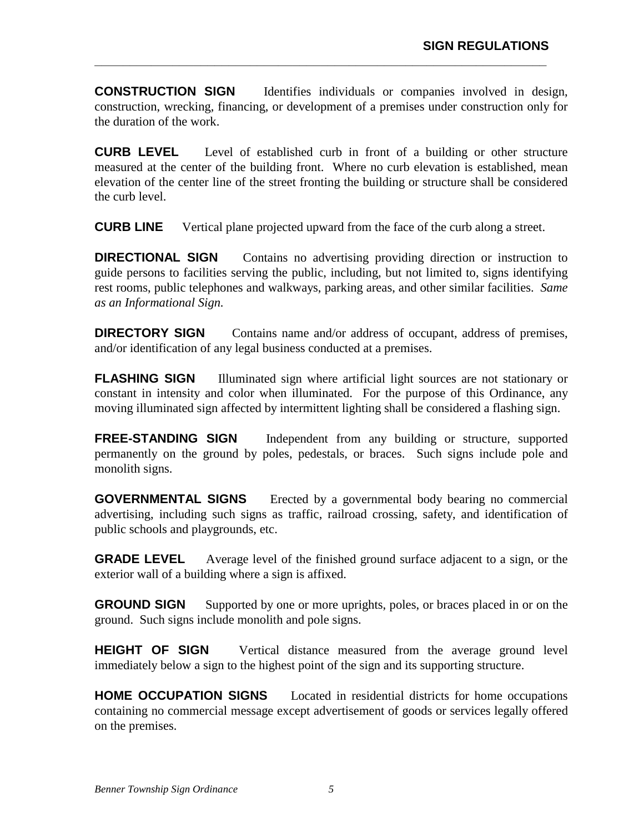**CONSTRUCTION SIGN** — Identifies individuals or companies involved in design, construction, wrecking, financing, or development of a premises under construction only for the duration of the work.

**\_\_\_\_\_\_\_\_\_\_\_\_\_\_\_\_\_\_\_\_\_\_\_\_\_\_\_\_\_\_\_\_\_\_\_\_\_\_\_\_\_\_\_\_\_\_\_\_\_\_\_\_\_\_\_\_\_\_\_\_\_\_\_\_** 

**CURB LEVEL** — Level of established curb in front of a building or other structure measured at the center of the building front. Where no curb elevation is established, mean elevation of the center line of the street fronting the building or structure shall be considered the curb level.

**CURB LINE** — Vertical plane projected upward from the face of the curb along a street.

**DIRECTIONAL SIGN** — Contains no advertising providing direction or instruction to guide persons to facilities serving the public, including, but not limited to, signs identifying rest rooms, public telephones and walkways, parking areas, and other similar facilities. *Same as an Informational Sign.*

**DIRECTORY SIGN** — Contains name and/or address of occupant, address of premises, and/or identification of any legal business conducted at a premises.

**FLASHING SIGN** — Illuminated sign where artificial light sources are not stationary or constant in intensity and color when illuminated. For the purpose of this Ordinance, any moving illuminated sign affected by intermittent lighting shall be considered a flashing sign.

**FREE-STANDING SIGN** — Independent from any building or structure, supported permanently on the ground by poles, pedestals, or braces. Such signs include pole and monolith signs.

**GOVERNMENTAL SIGNS** — Erected by a governmental body bearing no commercial advertising, including such signs as traffic, railroad crossing, safety, and identification of public schools and playgrounds, etc.

**GRADE LEVEL** — Average level of the finished ground surface adjacent to a sign, or the exterior wall of a building where a sign is affixed.

**GROUND SIGN** — Supported by one or more uprights, poles, or braces placed in or on the ground. Such signs include monolith and pole signs.

**HEIGHT OF SIGN** — Vertical distance measured from the average ground level immediately below a sign to the highest point of the sign and its supporting structure.

**HOME OCCUPATION SIGNS** — Located in residential districts for home occupations containing no commercial message except advertisement of goods or services legally offered on the premises.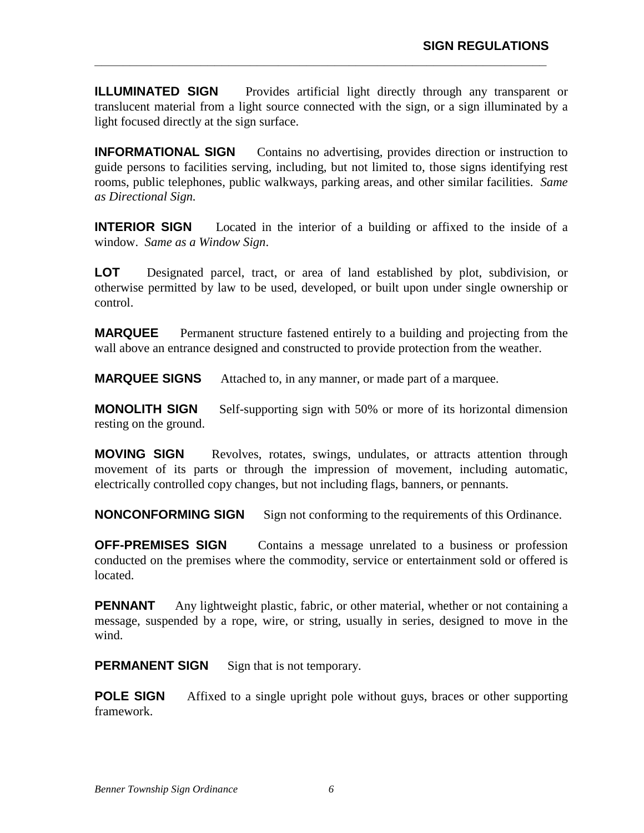**ILLUMINATED SIGN** — Provides artificial light directly through any transparent or translucent material from a light source connected with the sign, or a sign illuminated by a light focused directly at the sign surface.

**\_\_\_\_\_\_\_\_\_\_\_\_\_\_\_\_\_\_\_\_\_\_\_\_\_\_\_\_\_\_\_\_\_\_\_\_\_\_\_\_\_\_\_\_\_\_\_\_\_\_\_\_\_\_\_\_\_\_\_\_\_\_\_\_** 

**INFORMATIONAL SIGN** — Contains no advertising, provides direction or instruction to guide persons to facilities serving, including, but not limited to, those signs identifying rest rooms, public telephones, public walkways, parking areas, and other similar facilities. *Same as Directional Sign.*

**INTERIOR SIGN** — Located in the interior of a building or affixed to the inside of a window. *Same as a Window Sign*.

**LOT** — Designated parcel, tract, or area of land established by plot, subdivision, or otherwise permitted by law to be used, developed, or built upon under single ownership or control.

**MARQUEE** — Permanent structure fastened entirely to a building and projecting from the wall above an entrance designed and constructed to provide protection from the weather.

**MARQUEE SIGNS** — Attached to, in any manner, or made part of a marquee.

**MONOLITH SIGN** — Self-supporting sign with 50% or more of its horizontal dimension resting on the ground.

**MOVING SIGN** — Revolves, rotates, swings, undulates, or attracts attention through movement of its parts or through the impression of movement, including automatic, electrically controlled copy changes, but not including flags, banners, or pennants.

**NONCONFORMING SIGN** — Sign not conforming to the requirements of this Ordinance.

**OFF-PREMISES SIGN** — Contains a message unrelated to a business or profession conducted on the premises where the commodity, service or entertainment sold or offered is located.

**PENNANT** — Any lightweight plastic, fabric, or other material, whether or not containing a message, suspended by a rope, wire, or string, usually in series, designed to move in the wind.

**PERMANENT SIGN** — Sign that is not temporary.

**POLE SIGN** — Affixed to a single upright pole without guys, braces or other supporting framework.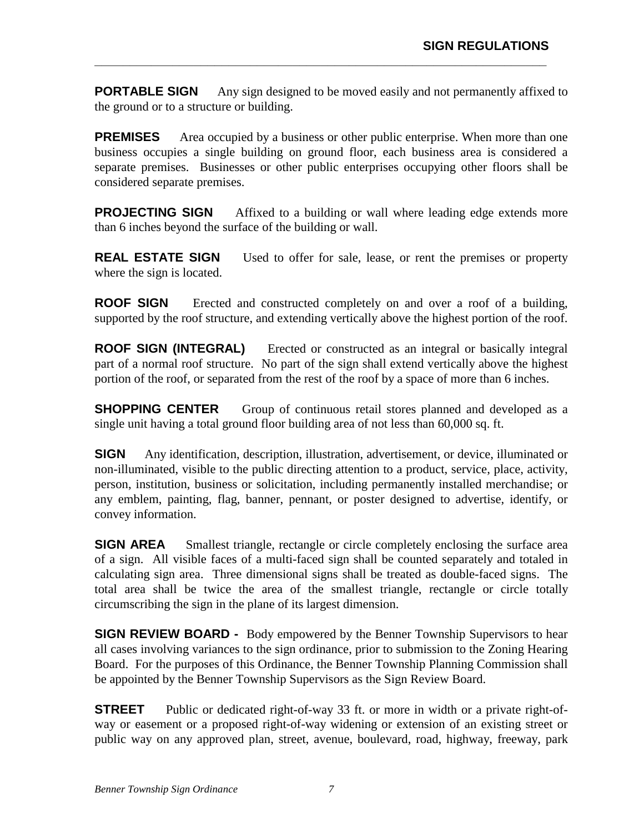**PORTABLE SIGN** — Any sign designed to be moved easily and not permanently affixed to the ground or to a structure or building.

**\_\_\_\_\_\_\_\_\_\_\_\_\_\_\_\_\_\_\_\_\_\_\_\_\_\_\_\_\_\_\_\_\_\_\_\_\_\_\_\_\_\_\_\_\_\_\_\_\_\_\_\_\_\_\_\_\_\_\_\_\_\_\_\_** 

**PREMISES** — Area occupied by a business or other public enterprise. When more than one business occupies a single building on ground floor, each business area is considered a separate premises. Businesses or other public enterprises occupying other floors shall be considered separate premises.

**PROJECTING SIGN** — Affixed to a building or wall where leading edge extends more than 6 inches beyond the surface of the building or wall.

**REAL ESTATE SIGN** — Used to offer for sale, lease, or rent the premises or property where the sign is located.

**ROOF SIGN** — Erected and constructed completely on and over a roof of a building, supported by the roof structure, and extending vertically above the highest portion of the roof.

**ROOF SIGN (INTEGRAL)** — Erected or constructed as an integral or basically integral part of a normal roof structure. No part of the sign shall extend vertically above the highest portion of the roof, or separated from the rest of the roof by a space of more than 6 inches.

**SHOPPING CENTER** — Group of continuous retail stores planned and developed as a single unit having a total ground floor building area of not less than 60,000 sq. ft.

**SIGN** — Any identification, description, illustration, advertisement, or device, illuminated or non-illuminated, visible to the public directing attention to a product, service, place, activity, person, institution, business or solicitation, including permanently installed merchandise; or any emblem, painting, flag, banner, pennant, or poster designed to advertise, identify, or convey information.

**SIGN AREA** — Smallest triangle, rectangle or circle completely enclosing the surface area of a sign. All visible faces of a multi-faced sign shall be counted separately and totaled in calculating sign area. Three dimensional signs shall be treated as double-faced signs. The total area shall be twice the area of the smallest triangle, rectangle or circle totally circumscribing the sign in the plane of its largest dimension.

**SIGN REVIEW BOARD -** Body empowered by the Benner Township Supervisors to hear all cases involving variances to the sign ordinance, prior to submission to the Zoning Hearing Board. For the purposes of this Ordinance, the Benner Township Planning Commission shall be appointed by the Benner Township Supervisors as the Sign Review Board.

**STREET** — Public or dedicated right-of-way 33 ft. or more in width or a private right-ofway or easement or a proposed right-of-way widening or extension of an existing street or public way on any approved plan, street, avenue, boulevard, road, highway, freeway, park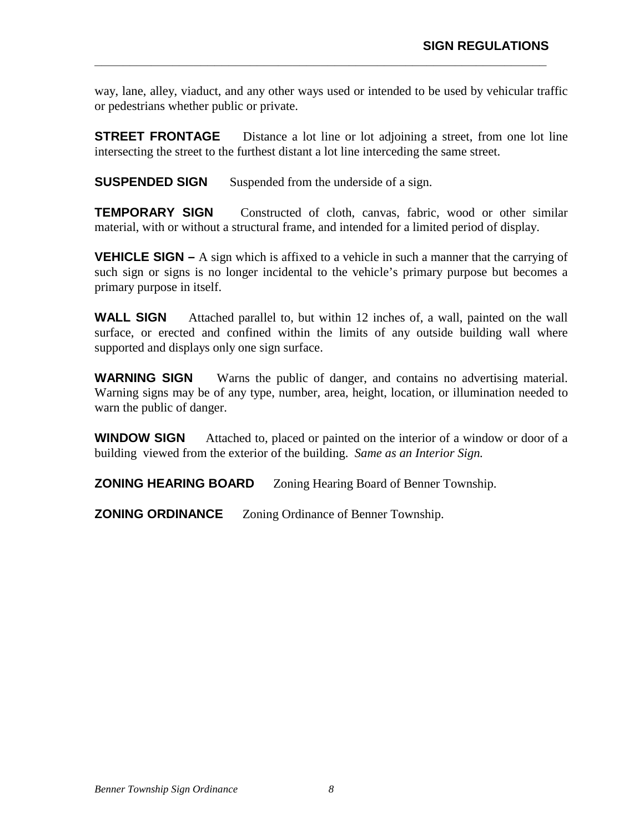way, lane, alley, viaduct, and any other ways used or intended to be used by vehicular traffic or pedestrians whether public or private.

**\_\_\_\_\_\_\_\_\_\_\_\_\_\_\_\_\_\_\_\_\_\_\_\_\_\_\_\_\_\_\_\_\_\_\_\_\_\_\_\_\_\_\_\_\_\_\_\_\_\_\_\_\_\_\_\_\_\_\_\_\_\_\_\_** 

**STREET FRONTAGE** — Distance a lot line or lot adjoining a street, from one lot line intersecting the street to the furthest distant a lot line interceding the same street.

**SUSPENDED SIGN** — Suspended from the underside of a sign.

**TEMPORARY SIGN** — Constructed of cloth, canvas, fabric, wood or other similar material, with or without a structural frame, and intended for a limited period of display.

**VEHICLE SIGN –** A sign which is affixed to a vehicle in such a manner that the carrying of such sign or signs is no longer incidental to the vehicle's primary purpose but becomes a primary purpose in itself.

**WALL SIGN** — Attached parallel to, but within 12 inches of, a wall, painted on the wall surface, or erected and confined within the limits of any outside building wall where supported and displays only one sign surface.

**WARNING SIGN** — Warns the public of danger, and contains no advertising material. Warning signs may be of any type, number, area, height, location, or illumination needed to warn the public of danger.

**WINDOW SIGN** — Attached to, placed or painted on the interior of a window or door of a building viewed from the exterior of the building. *Same as an Interior Sign.*

**ZONING HEARING BOARD** — Zoning Hearing Board of Benner Township.

**ZONING ORDINANCE** — Zoning Ordinance of Benner Township.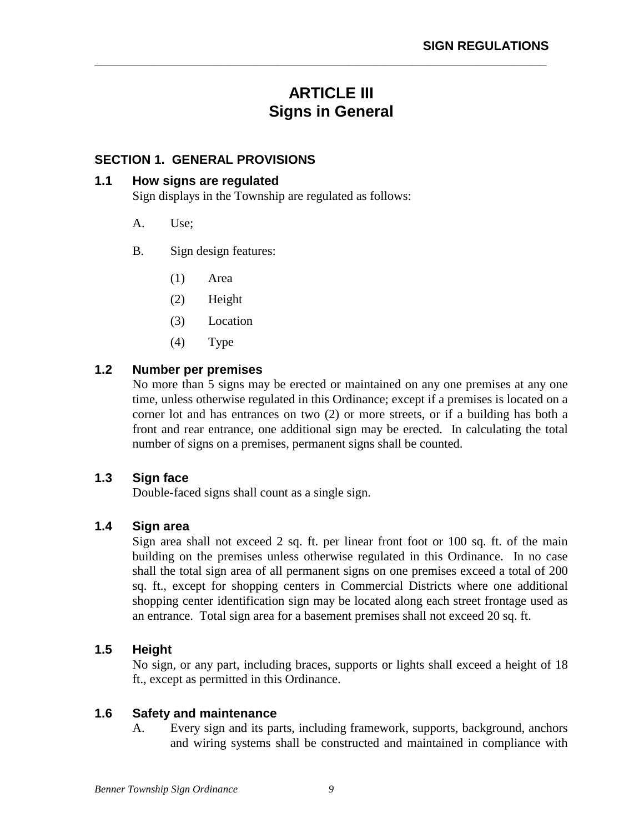# **ARTICLE III Signs in General**

**\_\_\_\_\_\_\_\_\_\_\_\_\_\_\_\_\_\_\_\_\_\_\_\_\_\_\_\_\_\_\_\_\_\_\_\_\_\_\_\_\_\_\_\_\_\_\_\_\_\_\_\_\_\_\_\_\_\_\_\_\_\_\_\_** 

## **SECTION 1. GENERAL PROVISIONS**

## **1.1 How signs are regulated**

Sign displays in the Township are regulated as follows:

- A. Use;
- B. Sign design features:
	- (1) Area
	- (2) Height
	- (3) Location
	- (4) Type

## **1.2 Number per premises**

No more than 5 signs may be erected or maintained on any one premises at any one time, unless otherwise regulated in this Ordinance; except if a premises is located on a corner lot and has entrances on two (2) or more streets, or if a building has both a front and rear entrance, one additional sign may be erected. In calculating the total number of signs on a premises, permanent signs shall be counted.

## **1.3 Sign face**

Double-faced signs shall count as a single sign.

## **1.4 Sign area**

Sign area shall not exceed 2 sq. ft. per linear front foot or 100 sq. ft. of the main building on the premises unless otherwise regulated in this Ordinance. In no case shall the total sign area of all permanent signs on one premises exceed a total of 200 sq. ft., except for shopping centers in Commercial Districts where one additional shopping center identification sign may be located along each street frontage used as an entrance. Total sign area for a basement premises shall not exceed 20 sq. ft.

## **1.5 Height**

No sign, or any part, including braces, supports or lights shall exceed a height of 18 ft., except as permitted in this Ordinance.

#### **1.6 Safety and maintenance**

A. Every sign and its parts, including framework, supports, background, anchors and wiring systems shall be constructed and maintained in compliance with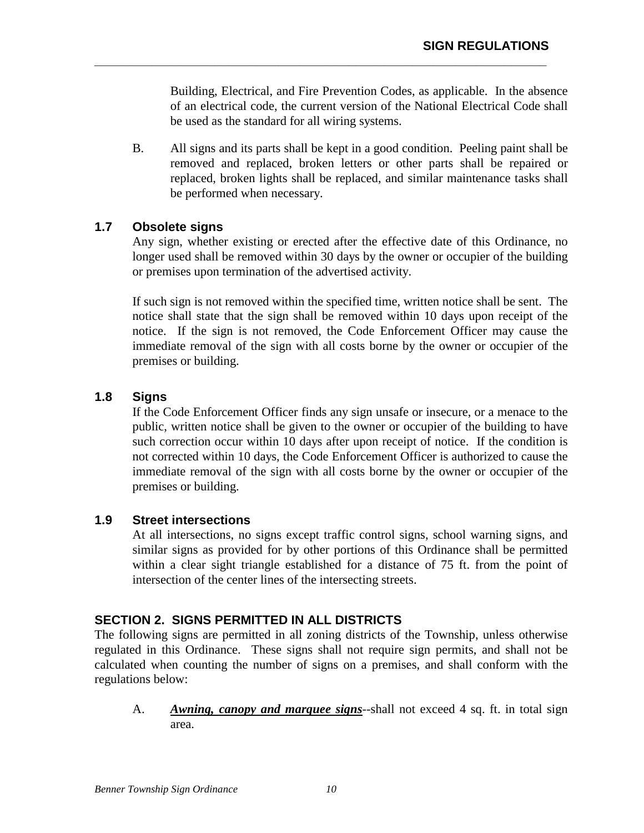Building, Electrical, and Fire Prevention Codes, as applicable. In the absence of an electrical code, the current version of the National Electrical Code shall be used as the standard for all wiring systems.

B. All signs and its parts shall be kept in a good condition. Peeling paint shall be removed and replaced, broken letters or other parts shall be repaired or replaced, broken lights shall be replaced, and similar maintenance tasks shall be performed when necessary.

**\_\_\_\_\_\_\_\_\_\_\_\_\_\_\_\_\_\_\_\_\_\_\_\_\_\_\_\_\_\_\_\_\_\_\_\_\_\_\_\_\_\_\_\_\_\_\_\_\_\_\_\_\_\_\_\_\_\_\_\_\_\_\_\_** 

## **1.7 Obsolete signs**

Any sign, whether existing or erected after the effective date of this Ordinance, no longer used shall be removed within 30 days by the owner or occupier of the building or premises upon termination of the advertised activity.

If such sign is not removed within the specified time, written notice shall be sent. The notice shall state that the sign shall be removed within 10 days upon receipt of the notice. If the sign is not removed, the Code Enforcement Officer may cause the immediate removal of the sign with all costs borne by the owner or occupier of the premises or building.

## **1.8 Signs**

If the Code Enforcement Officer finds any sign unsafe or insecure, or a menace to the public, written notice shall be given to the owner or occupier of the building to have such correction occur within 10 days after upon receipt of notice. If the condition is not corrected within 10 days, the Code Enforcement Officer is authorized to cause the immediate removal of the sign with all costs borne by the owner or occupier of the premises or building.

## **1.9 Street intersections**

At all intersections, no signs except traffic control signs, school warning signs, and similar signs as provided for by other portions of this Ordinance shall be permitted within a clear sight triangle established for a distance of 75 ft. from the point of intersection of the center lines of the intersecting streets.

## **SECTION 2. SIGNS PERMITTED IN ALL DISTRICTS**

The following signs are permitted in all zoning districts of the Township, unless otherwise regulated in this Ordinance. These signs shall not require sign permits, and shall not be calculated when counting the number of signs on a premises, and shall conform with the regulations below:

 A. *Awning, canopy and marquee signs--*shall not exceed 4 sq. ft. in total sign area.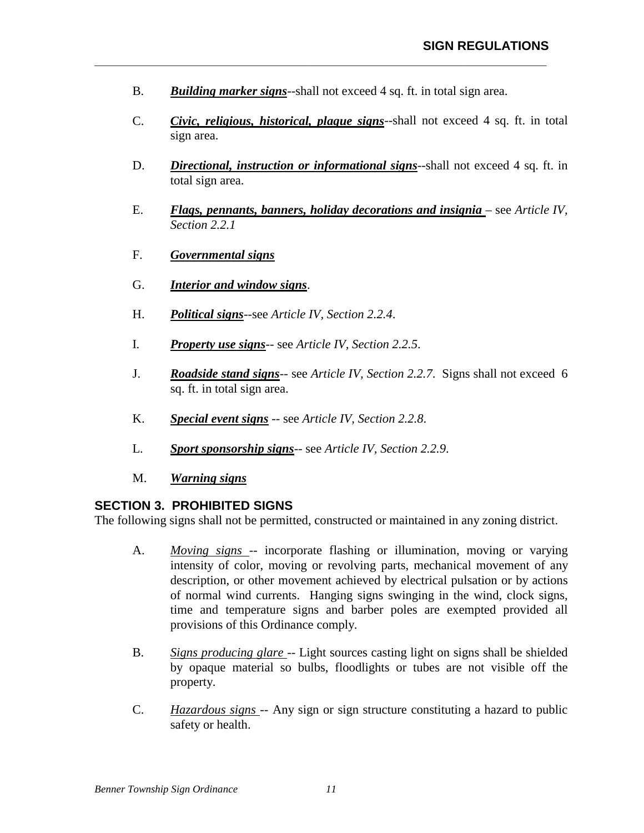B. *Building marker signs*--shall not exceed 4 sq. ft. in total sign area.

**\_\_\_\_\_\_\_\_\_\_\_\_\_\_\_\_\_\_\_\_\_\_\_\_\_\_\_\_\_\_\_\_\_\_\_\_\_\_\_\_\_\_\_\_\_\_\_\_\_\_\_\_\_\_\_\_\_\_\_\_\_\_\_\_** 

- C. *Civic, religious, historical, plaque signs*--shall not exceed 4 sq. ft. in total sign area.
- D. *Directional, instruction or informational signs*--shall not exceed 4 sq. ft. in total sign area.
- E. **Flags, pennants, banners, holiday decorations and insignia** see Article IV, *Section 2.2.1*
- F. *Governmental signs*
- G. *Interior and window signs*.
- H. *Political signs*--see *Article IV, Section 2.2.4*.
- I. *Property use signs*-- see *Article IV, Section 2.2.5*.
- J. *Roadside stand signs*-- see *Article IV, Section 2.2.7*. Signs shall not exceed 6 sq. ft. in total sign area.
- K. *Special event signs* -- see *Article IV, Section 2.2.8*.
- L. *Sport sponsorship signs*-- see *Article IV, Section 2.2.9*.
- M. *Warning signs*

## **SECTION 3. PROHIBITED SIGNS**

The following signs shall not be permitted, constructed or maintained in any zoning district.

- A. *Moving signs --* incorporate flashing or illumination, moving or varying intensity of color, moving or revolving parts, mechanical movement of any description, or other movement achieved by electrical pulsation or by actions of normal wind currents. Hanging signs swinging in the wind, clock signs, time and temperature signs and barber poles are exempted provided all provisions of this Ordinance comply.
- B. *Signs producing glare --* Light sources casting light on signs shall be shielded by opaque material so bulbs, floodlights or tubes are not visible off the property.
- C. *Hazardous signs* -- Any sign or sign structure constituting a hazard to public safety or health.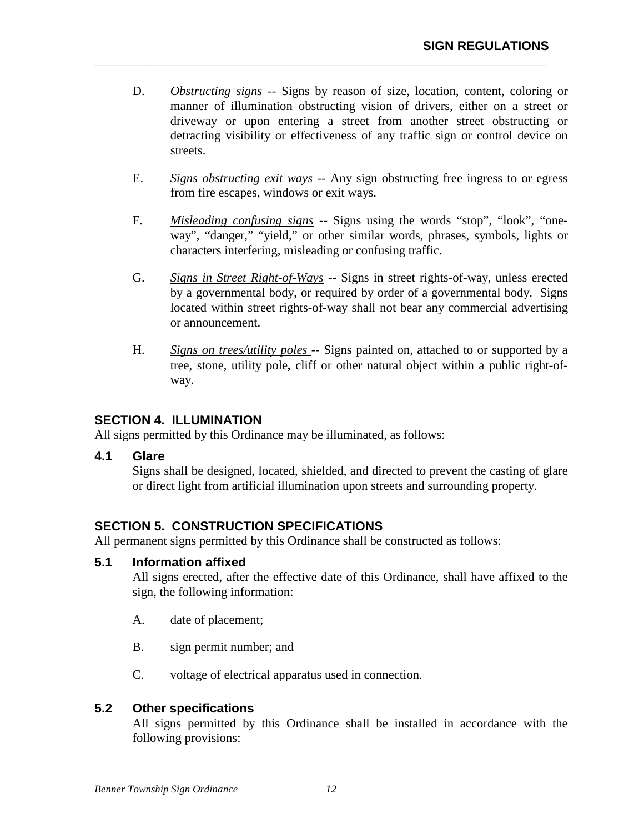D. *Obstructing signs* -- Signs by reason of size, location, content, coloring or manner of illumination obstructing vision of drivers, either on a street or driveway or upon entering a street from another street obstructing or detracting visibility or effectiveness of any traffic sign or control device on streets.

**\_\_\_\_\_\_\_\_\_\_\_\_\_\_\_\_\_\_\_\_\_\_\_\_\_\_\_\_\_\_\_\_\_\_\_\_\_\_\_\_\_\_\_\_\_\_\_\_\_\_\_\_\_\_\_\_\_\_\_\_\_\_\_\_** 

- E. *Signs obstructing exit ways* -- Any sign obstructing free ingress to or egress from fire escapes, windows or exit ways.
- F. *Misleading confusing signs* -- Signs using the words "stop", "look", "oneway", "danger," "yield," or other similar words, phrases, symbols, lights or characters interfering, misleading or confusing traffic.
- G. *Signs in Street Right-of-Ways* -- Signs in street rights-of-way, unless erected by a governmental body, or required by order of a governmental body. Signs located within street rights-of-way shall not bear any commercial advertising or announcement.
- H. *Signs on trees/utility poles* -- Signs painted on, attached to or supported by a tree, stone, utility pole**,** cliff or other natural object within a public right-ofway.

## **SECTION 4. ILLUMINATION**

All signs permitted by this Ordinance may be illuminated, as follows:

## **4.1 Glare**

Signs shall be designed, located, shielded, and directed to prevent the casting of glare or direct light from artificial illumination upon streets and surrounding property.

## **SECTION 5. CONSTRUCTION SPECIFICATIONS**

All permanent signs permitted by this Ordinance shall be constructed as follows:

## **5.1 Information affixed**

All signs erected, after the effective date of this Ordinance, shall have affixed to the sign, the following information:

- A. date of placement;
- B. sign permit number; and
- C. voltage of electrical apparatus used in connection.

## **5.2 Other specifications**

All signs permitted by this Ordinance shall be installed in accordance with the following provisions: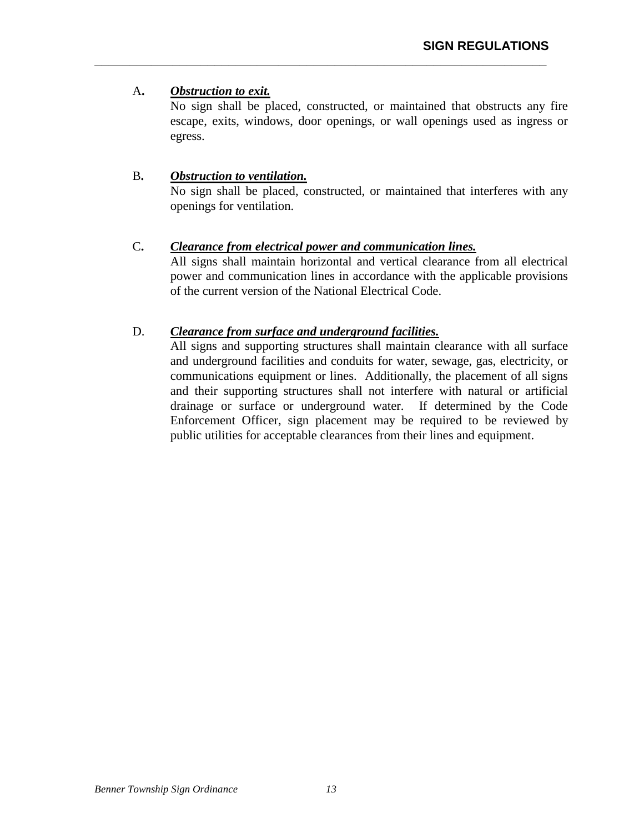## A**.** *Obstruction to exit.*

No sign shall be placed, constructed, or maintained that obstructs any fire escape, exits, windows, door openings, or wall openings used as ingress or egress.

## B**.** *Obstruction to ventilation.*

No sign shall be placed, constructed, or maintained that interferes with any openings for ventilation.

## C**.** *Clearance from electrical power and communication lines.*

**\_\_\_\_\_\_\_\_\_\_\_\_\_\_\_\_\_\_\_\_\_\_\_\_\_\_\_\_\_\_\_\_\_\_\_\_\_\_\_\_\_\_\_\_\_\_\_\_\_\_\_\_\_\_\_\_\_\_\_\_\_\_\_\_** 

All signs shall maintain horizontal and vertical clearance from all electrical power and communication lines in accordance with the applicable provisions of the current version of the National Electrical Code.

## D. *Clearance from surface and underground facilities.*

All signs and supporting structures shall maintain clearance with all surface and underground facilities and conduits for water, sewage, gas, electricity, or communications equipment or lines. Additionally, the placement of all signs and their supporting structures shall not interfere with natural or artificial drainage or surface or underground water. If determined by the Code Enforcement Officer, sign placement may be required to be reviewed by public utilities for acceptable clearances from their lines and equipment.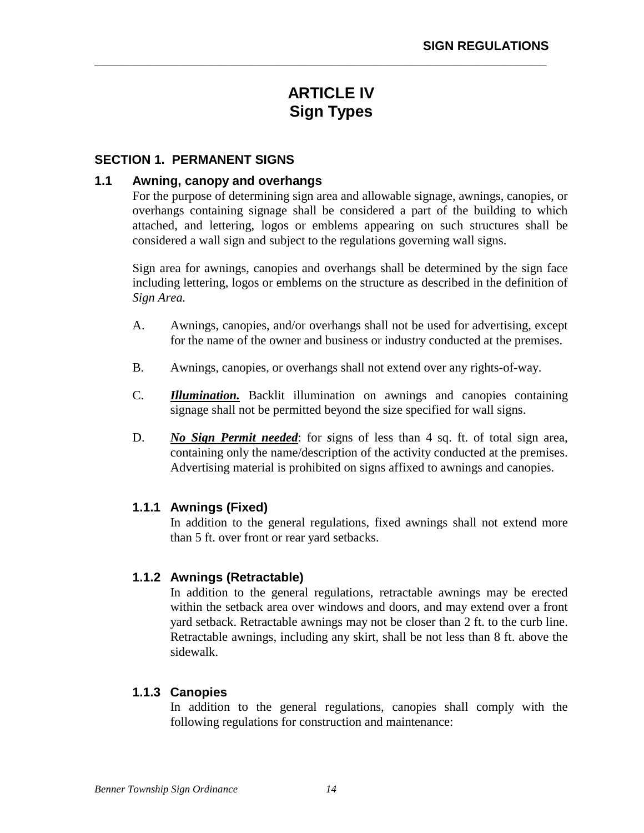# **ARTICLE IV Sign Types**

**\_\_\_\_\_\_\_\_\_\_\_\_\_\_\_\_\_\_\_\_\_\_\_\_\_\_\_\_\_\_\_\_\_\_\_\_\_\_\_\_\_\_\_\_\_\_\_\_\_\_\_\_\_\_\_\_\_\_\_\_\_\_\_\_** 

#### **SECTION 1. PERMANENT SIGNS**

#### **1.1 Awning, canopy and overhangs**

For the purpose of determining sign area and allowable signage, awnings, canopies, or overhangs containing signage shall be considered a part of the building to which attached, and lettering, logos or emblems appearing on such structures shall be considered a wall sign and subject to the regulations governing wall signs.

Sign area for awnings, canopies and overhangs shall be determined by the sign face including lettering, logos or emblems on the structure as described in the definition of *Sign Area.*

- A. Awnings, canopies, and/or overhangs shall not be used for advertising, except for the name of the owner and business or industry conducted at the premises.
- B. Awnings, canopies, or overhangs shall not extend over any rights-of-way.
- C. *Illumination.* Backlit illumination on awnings and canopies containing signage shall not be permitted beyond the size specified for wall signs.
- D. *No Sign Permit needed*: for *signs* of less than 4 sq. ft. of total sign area, containing only the name/description of the activity conducted at the premises. Advertising material is prohibited on signs affixed to awnings and canopies.

#### **1.1.1 Awnings (Fixed)**

In addition to the general regulations, fixed awnings shall not extend more than 5 ft. over front or rear yard setbacks.

## **1.1.2 Awnings (Retractable)**

In addition to the general regulations, retractable awnings may be erected within the setback area over windows and doors, and may extend over a front yard setback. Retractable awnings may not be closer than 2 ft. to the curb line. Retractable awnings, including any skirt, shall be not less than 8 ft. above the sidewalk.

## **1.1.3 Canopies**

In addition to the general regulations, canopies shall comply with the following regulations for construction and maintenance: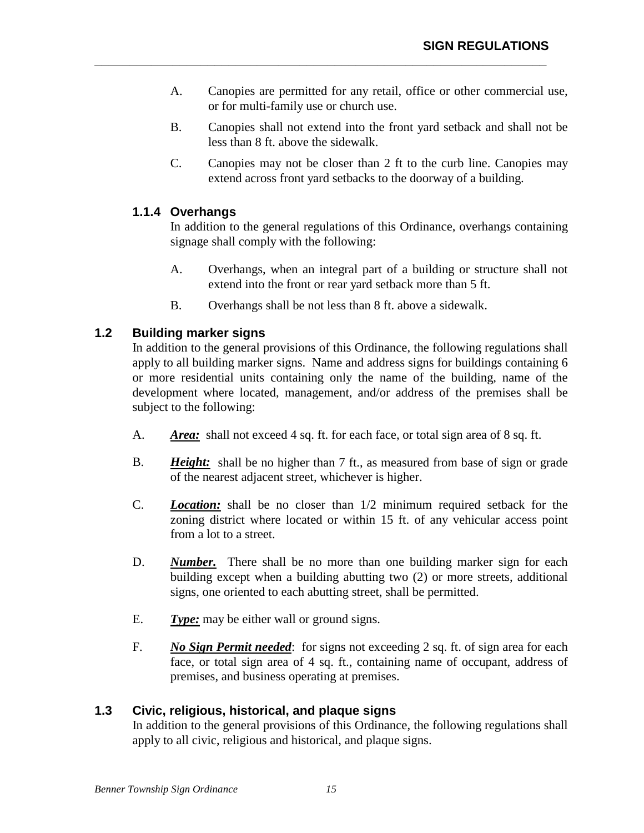A. Canopies are permitted for any retail, office or other commercial use, or for multi-family use or church use.

**\_\_\_\_\_\_\_\_\_\_\_\_\_\_\_\_\_\_\_\_\_\_\_\_\_\_\_\_\_\_\_\_\_\_\_\_\_\_\_\_\_\_\_\_\_\_\_\_\_\_\_\_\_\_\_\_\_\_\_\_\_\_\_\_** 

- B. Canopies shall not extend into the front yard setback and shall not be less than 8 ft. above the sidewalk.
- C. Canopies may not be closer than 2 ft to the curb line. Canopies may extend across front yard setbacks to the doorway of a building.

## **1.1.4 Overhangs**

In addition to the general regulations of this Ordinance, overhangs containing signage shall comply with the following:

- A. Overhangs, when an integral part of a building or structure shall not extend into the front or rear yard setback more than 5 ft.
- B. Overhangs shall be not less than 8 ft. above a sidewalk.

## **1.2 Building marker signs**

In addition to the general provisions of this Ordinance, the following regulations shall apply to all building marker signs. Name and address signs for buildings containing 6 or more residential units containing only the name of the building, name of the development where located, management, and/or address of the premises shall be subject to the following:

- A. *Area:* shall not exceed 4 sq. ft. for each face, or total sign area of 8 sq. ft.
- B. *Height:* shall be no higher than 7 ft., as measured from base of sign or grade of the nearest adjacent street, whichever is higher.
- C. *Location:* shall be no closer than 1/2 minimum required setback for the zoning district where located or within 15 ft. of any vehicular access point from a lot to a street.
- D. *Number.* There shall be no more than one building marker sign for each building except when a building abutting two (2) or more streets, additional signs, one oriented to each abutting street, shall be permitted.
- E. *Type:* may be either wall or ground signs.
- F. *No Sign Permit needed*: for signs not exceeding 2 sq. ft. of sign area for each face, or total sign area of 4 sq. ft., containing name of occupant, address of premises, and business operating at premises.

## **1.3 Civic, religious, historical, and plaque signs**

In addition to the general provisions of this Ordinance, the following regulations shall apply to all civic, religious and historical, and plaque signs.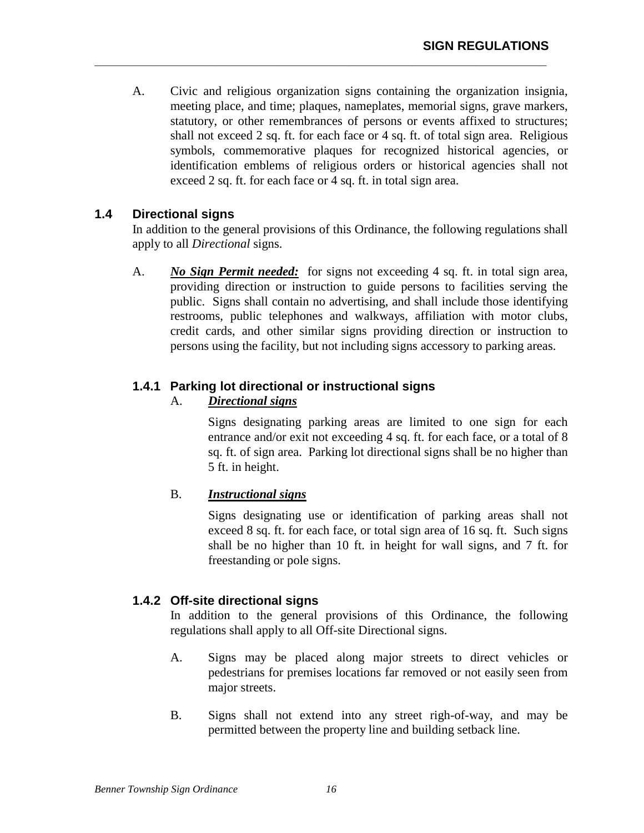A. Civic and religious organization signs containing the organization insignia, meeting place, and time; plaques, nameplates, memorial signs, grave markers, statutory, or other remembrances of persons or events affixed to structures; shall not exceed 2 sq. ft. for each face or 4 sq. ft. of total sign area. Religious symbols, commemorative plaques for recognized historical agencies, or identification emblems of religious orders or historical agencies shall not exceed 2 sq. ft. for each face or 4 sq. ft. in total sign area.

**\_\_\_\_\_\_\_\_\_\_\_\_\_\_\_\_\_\_\_\_\_\_\_\_\_\_\_\_\_\_\_\_\_\_\_\_\_\_\_\_\_\_\_\_\_\_\_\_\_\_\_\_\_\_\_\_\_\_\_\_\_\_\_\_** 

## **1.4 Directional signs**

In addition to the general provisions of this Ordinance, the following regulations shall apply to all *Directional* signs.

A. *No Sign Permit needed:* for signs not exceeding 4 sq. ft. in total sign area, providing direction or instruction to guide persons to facilities serving the public. Signs shall contain no advertising, and shall include those identifying restrooms, public telephones and walkways, affiliation with motor clubs, credit cards, and other similar signs providing direction or instruction to persons using the facility, but not including signs accessory to parking areas.

## **1.4.1 Parking lot directional or instructional signs**

## A. *Directional signs*

Signs designating parking areas are limited to one sign for each entrance and/or exit not exceeding 4 sq. ft. for each face, or a total of 8 sq. ft. of sign area. Parking lot directional signs shall be no higher than 5 ft. in height.

## B. *Instructional signs*

Signs designating use or identification of parking areas shall not exceed 8 sq. ft. for each face, or total sign area of 16 sq. ft. Such signs shall be no higher than 10 ft. in height for wall signs, and 7 ft. for freestanding or pole signs.

## **1.4.2 Off-site directional signs**

 In addition to the general provisions of this Ordinance, the following regulations shall apply to all Off-site Directional signs.

- A. Signs may be placed along major streets to direct vehicles or pedestrians for premises locations far removed or not easily seen from major streets.
- B. Signs shall not extend into any street righ-of-way, and may be permitted between the property line and building setback line.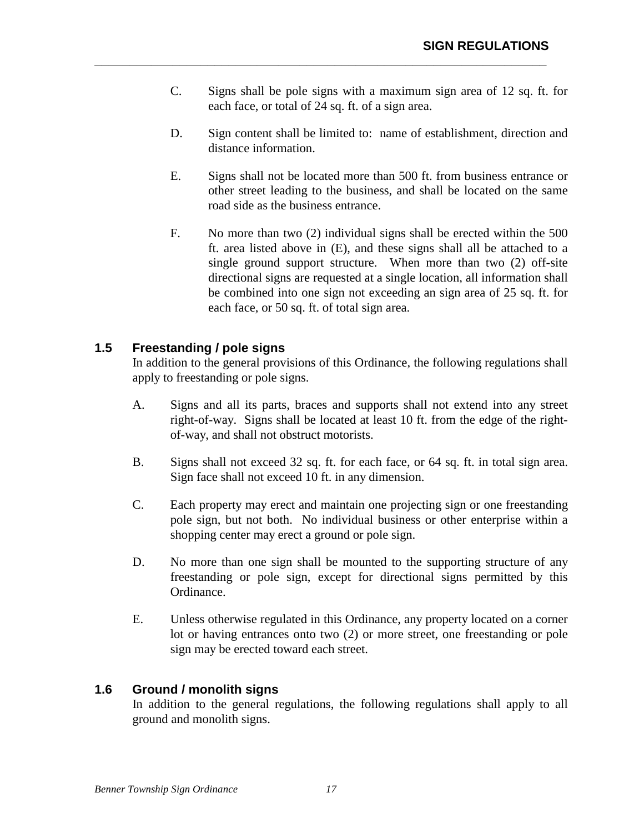C. Signs shall be pole signs with a maximum sign area of 12 sq. ft. for each face, or total of 24 sq. ft. of a sign area.

**\_\_\_\_\_\_\_\_\_\_\_\_\_\_\_\_\_\_\_\_\_\_\_\_\_\_\_\_\_\_\_\_\_\_\_\_\_\_\_\_\_\_\_\_\_\_\_\_\_\_\_\_\_\_\_\_\_\_\_\_\_\_\_\_** 

- D. Sign content shall be limited to: name of establishment, direction and distance information.
- E. Signs shall not be located more than 500 ft. from business entrance or other street leading to the business, and shall be located on the same road side as the business entrance.
- F. No more than two (2) individual signs shall be erected within the 500 ft. area listed above in (E), and these signs shall all be attached to a single ground support structure. When more than two (2) off-site directional signs are requested at a single location, all information shall be combined into one sign not exceeding an sign area of 25 sq. ft. for each face, or 50 sq. ft. of total sign area.

## **1.5 Freestanding / pole signs**

In addition to the general provisions of this Ordinance, the following regulations shall apply to freestanding or pole signs.

- A. Signs and all its parts, braces and supports shall not extend into any street right-of-way. Signs shall be located at least 10 ft. from the edge of the rightof-way, and shall not obstruct motorists.
- B. Signs shall not exceed 32 sq. ft. for each face, or 64 sq. ft. in total sign area. Sign face shall not exceed 10 ft. in any dimension.
- C. Each property may erect and maintain one projecting sign or one freestanding pole sign, but not both. No individual business or other enterprise within a shopping center may erect a ground or pole sign.
- D. No more than one sign shall be mounted to the supporting structure of any freestanding or pole sign, except for directional signs permitted by this Ordinance.
- E. Unless otherwise regulated in this Ordinance, any property located on a corner lot or having entrances onto two (2) or more street, one freestanding or pole sign may be erected toward each street.

## **1.6 Ground / monolith signs**

In addition to the general regulations, the following regulations shall apply to all ground and monolith signs.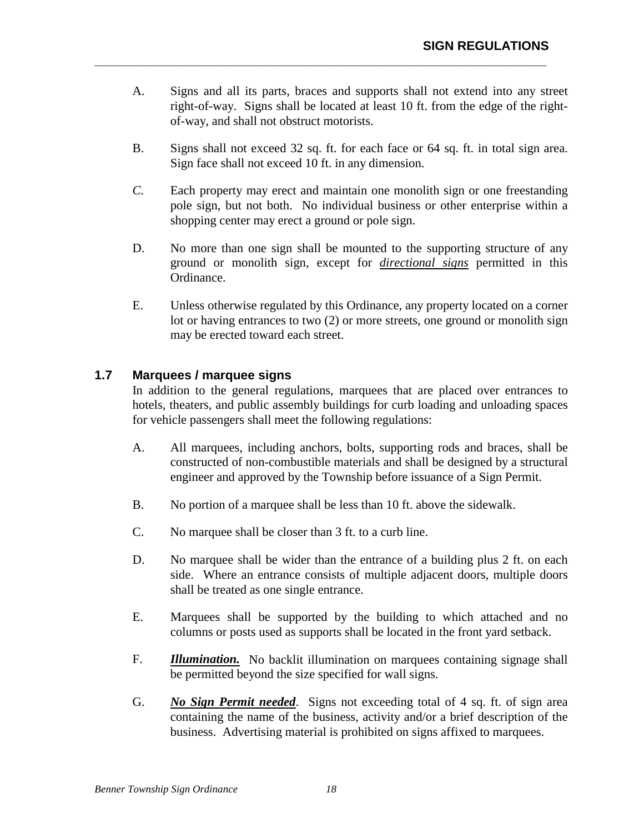A. Signs and all its parts, braces and supports shall not extend into any street right-of-way. Signs shall be located at least 10 ft. from the edge of the rightof-way, and shall not obstruct motorists.

**\_\_\_\_\_\_\_\_\_\_\_\_\_\_\_\_\_\_\_\_\_\_\_\_\_\_\_\_\_\_\_\_\_\_\_\_\_\_\_\_\_\_\_\_\_\_\_\_\_\_\_\_\_\_\_\_\_\_\_\_\_\_\_\_** 

- B. Signs shall not exceed 32 sq. ft. for each face or 64 sq. ft. in total sign area. Sign face shall not exceed 10 ft. in any dimension.
- *C.* Each property may erect and maintain one monolith sign or one freestanding pole sign, but not both. No individual business or other enterprise within a shopping center may erect a ground or pole sign.
- D. No more than one sign shall be mounted to the supporting structure of any ground or monolith sign, except for *directional signs* permitted in this Ordinance.
- E. Unless otherwise regulated by this Ordinance, any property located on a corner lot or having entrances to two (2) or more streets, one ground or monolith sign may be erected toward each street.

## **1.7 Marquees / marquee signs**

In addition to the general regulations, marquees that are placed over entrances to hotels, theaters, and public assembly buildings for curb loading and unloading spaces for vehicle passengers shall meet the following regulations:

- A. All marquees, including anchors, bolts, supporting rods and braces, shall be constructed of non-combustible materials and shall be designed by a structural engineer and approved by the Township before issuance of a Sign Permit.
- B. No portion of a marquee shall be less than 10 ft. above the sidewalk.
- C. No marquee shall be closer than 3 ft. to a curb line.
- D. No marquee shall be wider than the entrance of a building plus 2 ft. on each side. Where an entrance consists of multiple adjacent doors, multiple doors shall be treated as one single entrance.
- E. Marquees shall be supported by the building to which attached and no columns or posts used as supports shall be located in the front yard setback.
- F. *Illumination.* No backlit illumination on marquees containing signage shall be permitted beyond the size specified for wall signs.
- G. *No Sign Permit needed*. Signs not exceeding total of 4 sq. ft. of sign area containing the name of the business, activity and/or a brief description of the business. Advertising material is prohibited on signs affixed to marquees.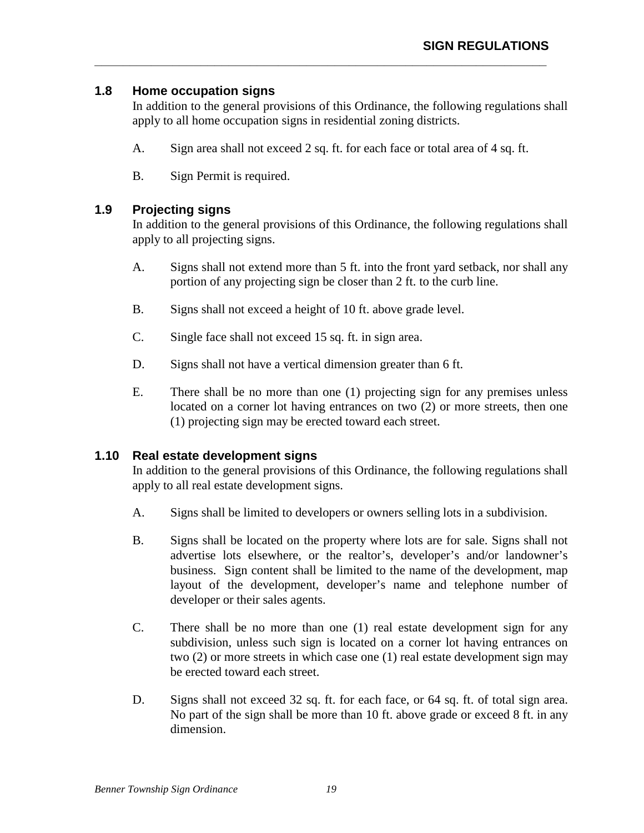## **1.8 Home occupation signs**

In addition to the general provisions of this Ordinance, the following regulations shall apply to all home occupation signs in residential zoning districts.

A. Sign area shall not exceed 2 sq. ft. for each face or total area of 4 sq. ft.

**\_\_\_\_\_\_\_\_\_\_\_\_\_\_\_\_\_\_\_\_\_\_\_\_\_\_\_\_\_\_\_\_\_\_\_\_\_\_\_\_\_\_\_\_\_\_\_\_\_\_\_\_\_\_\_\_\_\_\_\_\_\_\_\_** 

B. Sign Permit is required.

## **1.9 Projecting signs**

In addition to the general provisions of this Ordinance, the following regulations shall apply to all projecting signs.

- A. Signs shall not extend more than 5 ft. into the front yard setback, nor shall any portion of any projecting sign be closer than 2 ft. to the curb line.
- B. Signs shall not exceed a height of 10 ft. above grade level.
- C. Single face shall not exceed 15 sq. ft. in sign area.
- D. Signs shall not have a vertical dimension greater than 6 ft.
- E. There shall be no more than one (1) projecting sign for any premises unless located on a corner lot having entrances on two (2) or more streets, then one (1) projecting sign may be erected toward each street.

## **1.10 Real estate development signs**

In addition to the general provisions of this Ordinance, the following regulations shall apply to all real estate development signs.

- A. Signs shall be limited to developers or owners selling lots in a subdivision.
- B. Signs shall be located on the property where lots are for sale. Signs shall not advertise lots elsewhere, or the realtor's, developer's and/or landowner's business. Sign content shall be limited to the name of the development, map layout of the development, developer's name and telephone number of developer or their sales agents.
- C. There shall be no more than one (1) real estate development sign for any subdivision, unless such sign is located on a corner lot having entrances on two (2) or more streets in which case one (1) real estate development sign may be erected toward each street.
- D. Signs shall not exceed 32 sq. ft. for each face, or 64 sq. ft. of total sign area. No part of the sign shall be more than 10 ft. above grade or exceed 8 ft. in any dimension.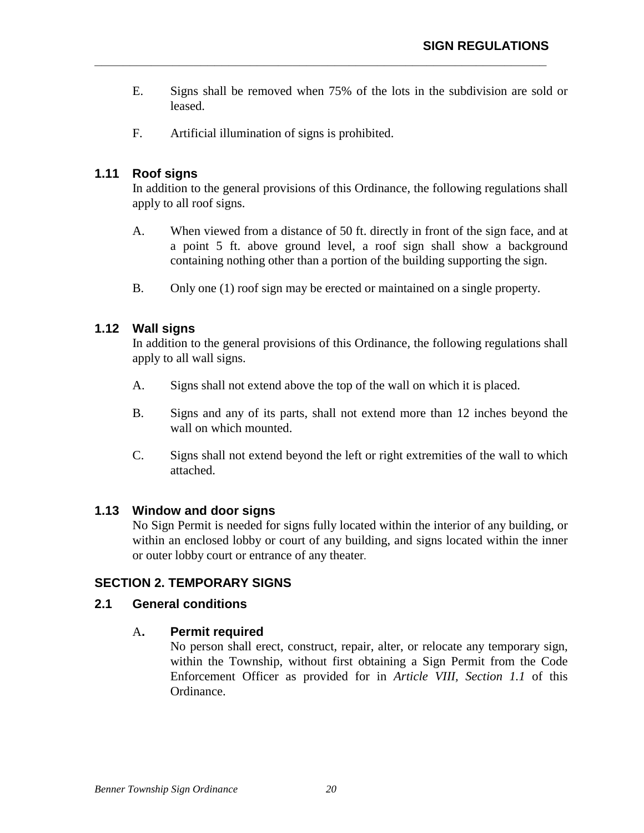E. Signs shall be removed when 75% of the lots in the subdivision are sold or leased.

**\_\_\_\_\_\_\_\_\_\_\_\_\_\_\_\_\_\_\_\_\_\_\_\_\_\_\_\_\_\_\_\_\_\_\_\_\_\_\_\_\_\_\_\_\_\_\_\_\_\_\_\_\_\_\_\_\_\_\_\_\_\_\_\_** 

F. Artificial illumination of signs is prohibited.

## **1.11 Roof signs**

In addition to the general provisions of this Ordinance, the following regulations shall apply to all roof signs.

- A. When viewed from a distance of 50 ft. directly in front of the sign face, and at a point 5 ft. above ground level, a roof sign shall show a background containing nothing other than a portion of the building supporting the sign.
- B. Only one (1) roof sign may be erected or maintained on a single property.

## **1.12 Wall signs**

In addition to the general provisions of this Ordinance, the following regulations shall apply to all wall signs.

- A. Signs shall not extend above the top of the wall on which it is placed.
- B. Signs and any of its parts, shall not extend more than 12 inches beyond the wall on which mounted.
- C. Signs shall not extend beyond the left or right extremities of the wall to which attached.

## **1.13 Window and door signs**

No Sign Permit is needed for signs fully located within the interior of any building, or within an enclosed lobby or court of any building, and signs located within the inner or outer lobby court or entrance of any theater.

## **SECTION 2. TEMPORARY SIGNS**

## **2.1 General conditions**

## A**. Permit required**

No person shall erect, construct, repair, alter, or relocate any temporary sign, within the Township, without first obtaining a Sign Permit from the Code Enforcement Officer as provided for in *Article VIII, Section 1.1* of this Ordinance.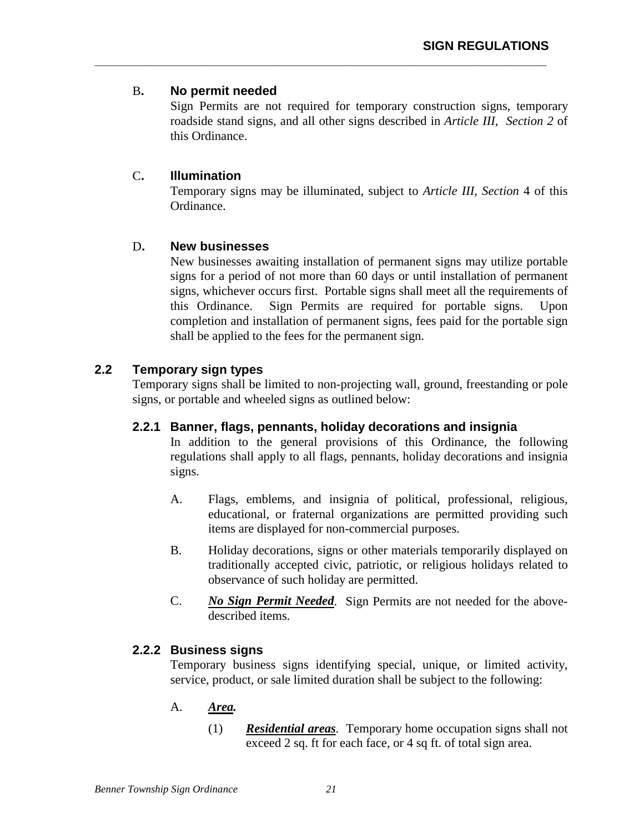## B**. No permit needed**

Sign Permits are not required for temporary construction signs, temporary roadside stand signs, and all other signs described in *Article III, Section 2* of this Ordinance.

**\_\_\_\_\_\_\_\_\_\_\_\_\_\_\_\_\_\_\_\_\_\_\_\_\_\_\_\_\_\_\_\_\_\_\_\_\_\_\_\_\_\_\_\_\_\_\_\_\_\_\_\_\_\_\_\_\_\_\_\_\_\_\_\_** 

## C**. Illumination**

Temporary signs may be illuminated, subject to *Article III, Section* 4 of this Ordinance.

## D**. New businesses**

New businesses awaiting installation of permanent signs may utilize portable signs for a period of not more than 60 days or until installation of permanent signs, whichever occurs first. Portable signs shall meet all the requirements of this Ordinance. Sign Permits are required for portable signs. Upon completion and installation of permanent signs, fees paid for the portable sign shall be applied to the fees for the permanent sign.

## **2.2 Temporary sign types**

 Temporary signs shall be limited to non-projecting wall, ground, freestanding or pole signs, or portable and wheeled signs as outlined below:

## **2.2.1 Banner, flags, pennants, holiday decorations and insignia**

 In addition to the general provisions of this Ordinance, the following regulations shall apply to all flags, pennants, holiday decorations and insignia signs.

- A. Flags, emblems, and insignia of political, professional, religious, educational, or fraternal organizations are permitted providing such items are displayed for non-commercial purposes.
- B. Holiday decorations, signs or other materials temporarily displayed on traditionally accepted civic, patriotic, or religious holidays related to observance of such holiday are permitted.
- C. *No Sign Permit Needed*. Sign Permits are not needed for the abovedescribed items.

## **2.2.2 Business signs**

Temporary business signs identifying special, unique, or limited activity, service, product, or sale limited duration shall be subject to the following:

## A. *Area.*

(1) *Residential areas.* Temporary home occupation signs shall not exceed 2 sq. ft for each face, or 4 sq ft. of total sign area.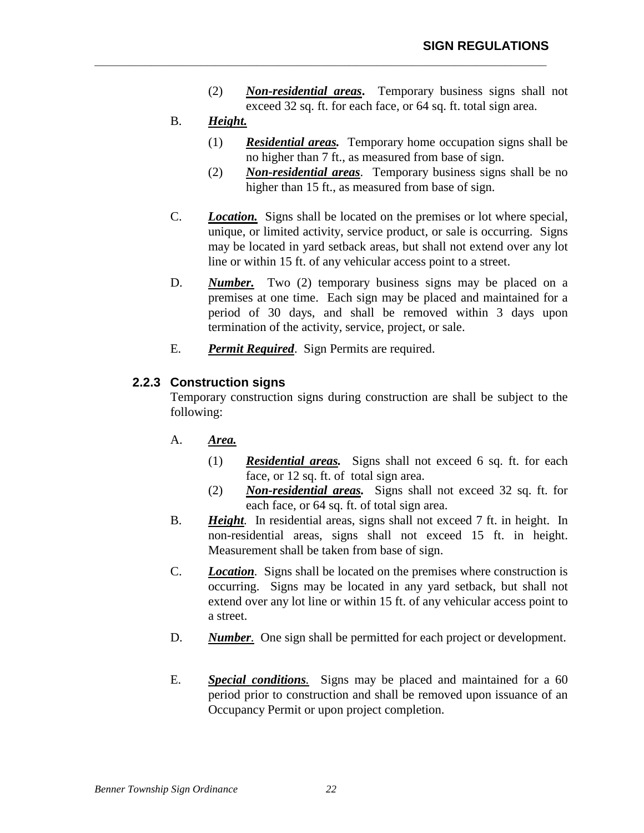(2) *Non-residential areas***.** Temporary business signs shall not exceed 32 sq. ft. for each face, or 64 sq. ft. total sign area.

**\_\_\_\_\_\_\_\_\_\_\_\_\_\_\_\_\_\_\_\_\_\_\_\_\_\_\_\_\_\_\_\_\_\_\_\_\_\_\_\_\_\_\_\_\_\_\_\_\_\_\_\_\_\_\_\_\_\_\_\_\_\_\_\_** 

## B. *Height.*

- (1) *Residential areas.* Temporary home occupation signs shall be no higher than 7 ft., as measured from base of sign.
- (2) *Non-residential areas*. Temporary business signs shall be no higher than 15 ft., as measured from base of sign.
- C. *Location.* Signs shall be located on the premises or lot where special, unique, or limited activity, service product, or sale is occurring. Signs may be located in yard setback areas, but shall not extend over any lot line or within 15 ft. of any vehicular access point to a street.
- D. *Number*. Two (2) temporary business signs may be placed on a premises at one time. Each sign may be placed and maintained for a period of 30 days, and shall be removed within 3 days upon termination of the activity, service, project, or sale.
- E. *Permit Required*. Sign Permits are required.

## **2.2.3 Construction signs**

Temporary construction signs during construction are shall be subject to the following:

- A. *Area.*
	- (1) *Residential areas.* Signs shall not exceed 6 sq. ft. for each face, or 12 sq. ft. of total sign area.
	- (2) *Non-residential areas.* Signs shall not exceed 32 sq. ft. for each face, or 64 sq. ft. of total sign area.
- B. *Height.* In residential areas, signs shall not exceed 7 ft. in height. In non-residential areas, signs shall not exceed 15 ft. in height. Measurement shall be taken from base of sign.
- C. *Location.* Signs shall be located on the premises where construction is occurring. Signs may be located in any yard setback, but shall not extend over any lot line or within 15 ft. of any vehicular access point to a street.
- D. *Number.* One sign shall be permitted for each project or development.
- E. *Special conditions.* Signs may be placed and maintained for a 60 period prior to construction and shall be removed upon issuance of an Occupancy Permit or upon project completion.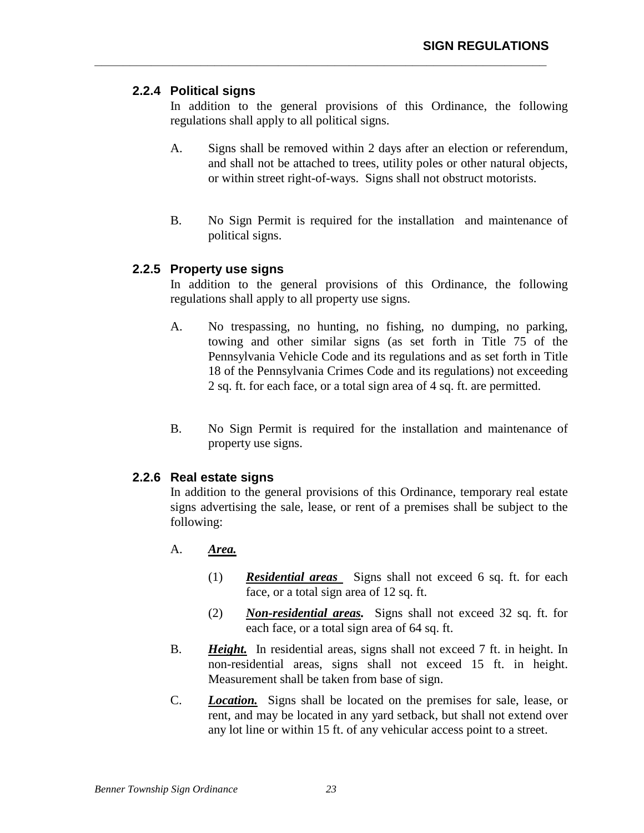## **2.2.4 Political signs**

In addition to the general provisions of this Ordinance, the following regulations shall apply to all political signs.

**\_\_\_\_\_\_\_\_\_\_\_\_\_\_\_\_\_\_\_\_\_\_\_\_\_\_\_\_\_\_\_\_\_\_\_\_\_\_\_\_\_\_\_\_\_\_\_\_\_\_\_\_\_\_\_\_\_\_\_\_\_\_\_\_** 

- A. Signs shall be removed within 2 days after an election or referendum, and shall not be attached to trees, utility poles or other natural objects, or within street right-of-ways. Signs shall not obstruct motorists.
- B. No Sign Permit is required for the installation and maintenance of political signs.

## **2.2.5 Property use signs**

In addition to the general provisions of this Ordinance, the following regulations shall apply to all property use signs.

- A. No trespassing, no hunting, no fishing, no dumping, no parking, towing and other similar signs (as set forth in Title 75 of the Pennsylvania Vehicle Code and its regulations and as set forth in Title 18 of the Pennsylvania Crimes Code and its regulations) not exceeding 2 sq. ft. for each face, or a total sign area of 4 sq. ft. are permitted.
- B. No Sign Permit is required for the installation and maintenance of property use signs.

## **2.2.6 Real estate signs**

In addition to the general provisions of this Ordinance, temporary real estate signs advertising the sale, lease, or rent of a premises shall be subject to the following:

- A. *Area.*
	- (1) *Residential areas* Signs shall not exceed 6 sq. ft. for each face, or a total sign area of 12 sq. ft.
	- (2) *Non-residential areas.* Signs shall not exceed 32 sq. ft. for each face, or a total sign area of 64 sq. ft.
- B. *Height.* In residential areas, signs shall not exceed 7 ft. in height. In non-residential areas, signs shall not exceed 15 ft. in height. Measurement shall be taken from base of sign.
- C. *Location.*Signs shall be located on the premises for sale, lease, or rent, and may be located in any yard setback, but shall not extend over any lot line or within 15 ft. of any vehicular access point to a street.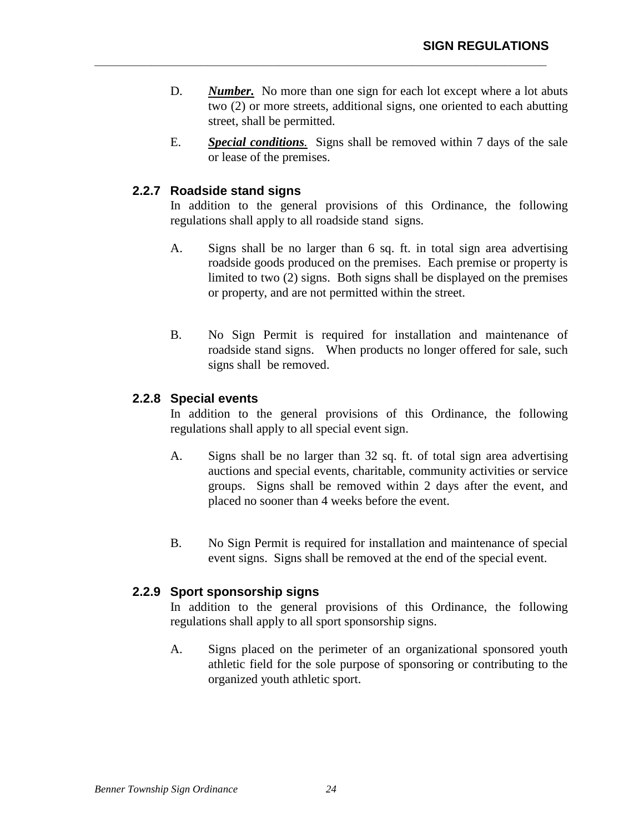D. *Number.* No more than one sign for each lot except where a lot abuts two (2) or more streets, additional signs, one oriented to each abutting street, shall be permitted.

**\_\_\_\_\_\_\_\_\_\_\_\_\_\_\_\_\_\_\_\_\_\_\_\_\_\_\_\_\_\_\_\_\_\_\_\_\_\_\_\_\_\_\_\_\_\_\_\_\_\_\_\_\_\_\_\_\_\_\_\_\_\_\_\_** 

E. *Special conditions.*Signs shall be removed within 7 days of the sale or lease of the premises.

## **2.2.7 Roadside stand signs**

In addition to the general provisions of this Ordinance, the following regulations shall apply to all roadside stand signs.

- A. Signs shall be no larger than 6 sq. ft. in total sign area advertising roadside goods produced on the premises. Each premise or property is limited to two (2) signs. Both signs shall be displayed on the premises or property, and are not permitted within the street.
- B. No Sign Permit is required for installation and maintenance of roadside stand signs. When products no longer offered for sale, such signs shall be removed.

## **2.2.8 Special events**

In addition to the general provisions of this Ordinance, the following regulations shall apply to all special event sign.

- A. Signs shall be no larger than 32 sq. ft. of total sign area advertising auctions and special events, charitable, community activities or service groups. Signs shall be removed within 2 days after the event, and placed no sooner than 4 weeks before the event.
- B. No Sign Permit is required for installation and maintenance of special event signs. Signs shall be removed at the end of the special event.

## **2.2.9 Sport sponsorship signs**

In addition to the general provisions of this Ordinance, the following regulations shall apply to all sport sponsorship signs.

A. Signs placed on the perimeter of an organizational sponsored youth athletic field for the sole purpose of sponsoring or contributing to the organized youth athletic sport.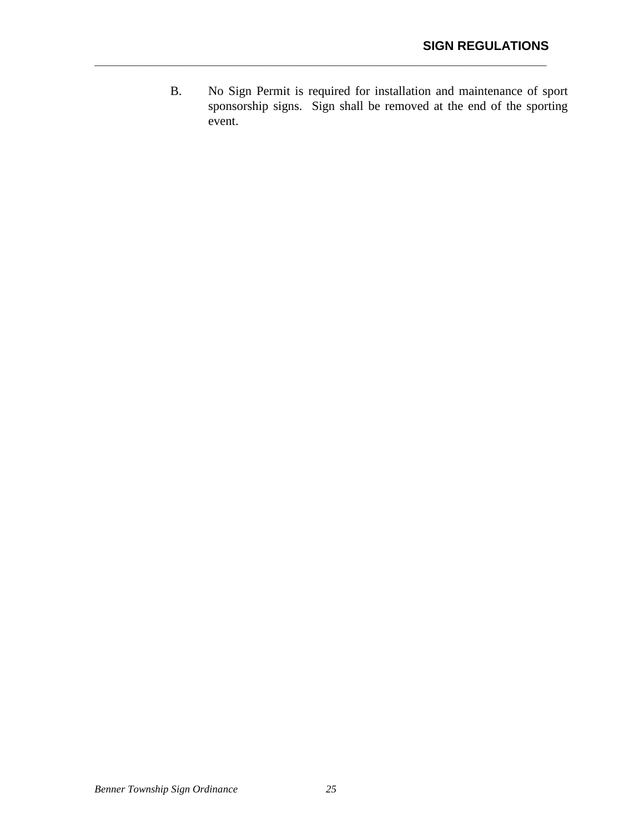B. No Sign Permit is required for installation and maintenance of sport sponsorship signs. Sign shall be removed at the end of the sporting event.

**\_\_\_\_\_\_\_\_\_\_\_\_\_\_\_\_\_\_\_\_\_\_\_\_\_\_\_\_\_\_\_\_\_\_\_\_\_\_\_\_\_\_\_\_\_\_\_\_\_\_\_\_\_\_\_\_\_\_\_\_\_\_\_\_**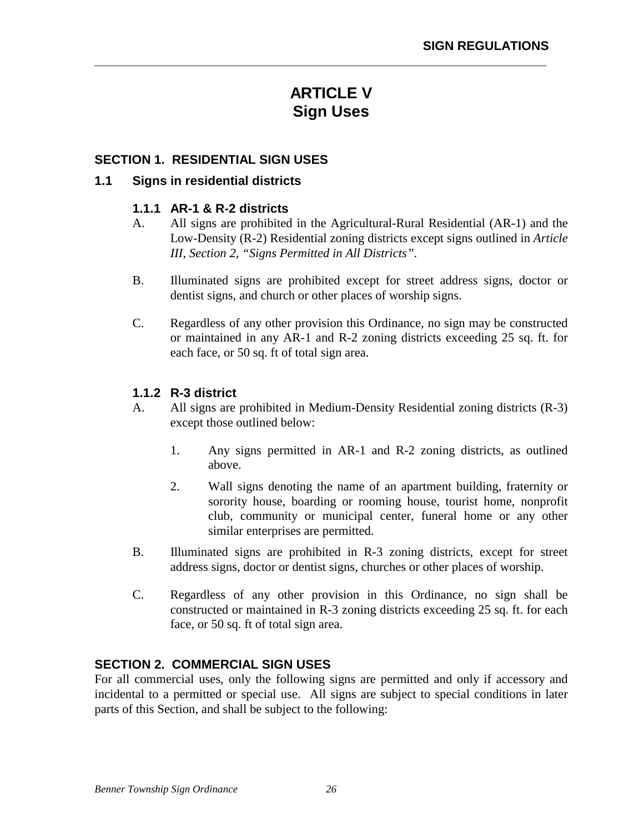# **ARTICLE V Sign Uses**

**\_\_\_\_\_\_\_\_\_\_\_\_\_\_\_\_\_\_\_\_\_\_\_\_\_\_\_\_\_\_\_\_\_\_\_\_\_\_\_\_\_\_\_\_\_\_\_\_\_\_\_\_\_\_\_\_\_\_\_\_\_\_\_\_** 

## **SECTION 1. RESIDENTIAL SIGN USES**

#### **1.1 Signs in residential districts**

#### **1.1.1 AR-1 & R-2 districts**

- A. All signs are prohibited in the Agricultural-Rural Residential (AR-1) and the Low-Density (R-2) Residential zoning districts except signs outlined in *Article III, Section 2, "Signs Permitted in All Districts"*.
- B. Illuminated signs are prohibited except for street address signs, doctor or dentist signs, and church or other places of worship signs.
- C. Regardless of any other provision this Ordinance, no sign may be constructed or maintained in any AR-1 and R-2 zoning districts exceeding 25 sq. ft. for each face, or 50 sq. ft of total sign area.

## **1.1.2 R-3 district**

- A. All signs are prohibited in Medium-Density Residential zoning districts (R-3) except those outlined below:
	- 1. Any signs permitted in AR-1 and R-2 zoning districts, as outlined above.
	- 2. Wall signs denoting the name of an apartment building, fraternity or sorority house, boarding or rooming house, tourist home, nonprofit club, community or municipal center, funeral home or any other similar enterprises are permitted.
- B. Illuminated signs are prohibited in R-3 zoning districts, except for street address signs, doctor or dentist signs, churches or other places of worship.
- C. Regardless of any other provision in this Ordinance, no sign shall be constructed or maintained in R-3 zoning districts exceeding 25 sq. ft. for each face, or 50 sq. ft of total sign area.

## **SECTION 2. COMMERCIAL SIGN USES**

For all commercial uses, only the following signs are permitted and only if accessory and incidental to a permitted or special use. All signs are subject to special conditions in later parts of this Section, and shall be subject to the following: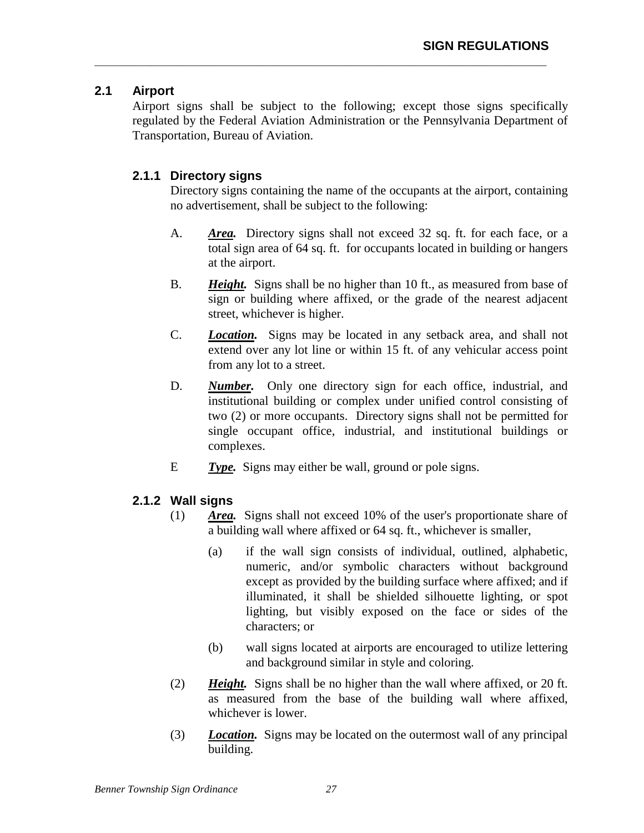## **2.1 Airport**

Airport signs shall be subject to the following; except those signs specifically regulated by the Federal Aviation Administration or the Pennsylvania Department of Transportation, Bureau of Aviation.

**\_\_\_\_\_\_\_\_\_\_\_\_\_\_\_\_\_\_\_\_\_\_\_\_\_\_\_\_\_\_\_\_\_\_\_\_\_\_\_\_\_\_\_\_\_\_\_\_\_\_\_\_\_\_\_\_\_\_\_\_\_\_\_\_** 

## **2.1.1 Directory signs**

Directory signs containing the name of the occupants at the airport, containing no advertisement, shall be subject to the following:

- A. *Area.* Directory signs shall not exceed 32 sq. ft. for each face, or a total sign area of 64 sq. ft. for occupants located in building or hangers at the airport.
- B. *Height.* Signs shall be no higher than 10 ft., as measured from base of sign or building where affixed, or the grade of the nearest adjacent street, whichever is higher.
- C. *Location.* Signs may be located in any setback area, and shall not extend over any lot line or within 15 ft. of any vehicular access point from any lot to a street.
- D. *Number.* Only one directory sign for each office, industrial, and institutional building or complex under unified control consisting of two (2) or more occupants. Directory signs shall not be permitted for single occupant office, industrial, and institutional buildings or complexes.
- E *Type.* Signs may either be wall, ground or pole signs.

## **2.1.2 Wall signs**

- (1) *Area.* Signs shall not exceed 10% of the user's proportionate share of a building wall where affixed or 64 sq. ft., whichever is smaller,
	- (a) if the wall sign consists of individual, outlined, alphabetic, numeric, and/or symbolic characters without background except as provided by the building surface where affixed; and if illuminated, it shall be shielded silhouette lighting, or spot lighting, but visibly exposed on the face or sides of the characters; or
	- (b) wall signs located at airports are encouraged to utilize lettering and background similar in style and coloring.
- (2) *Height.* Signs shall be no higher than the wall where affixed, or 20 ft. as measured from the base of the building wall where affixed, whichever is lower.
- (3) *Location.* Signs may be located on the outermost wall of any principal building.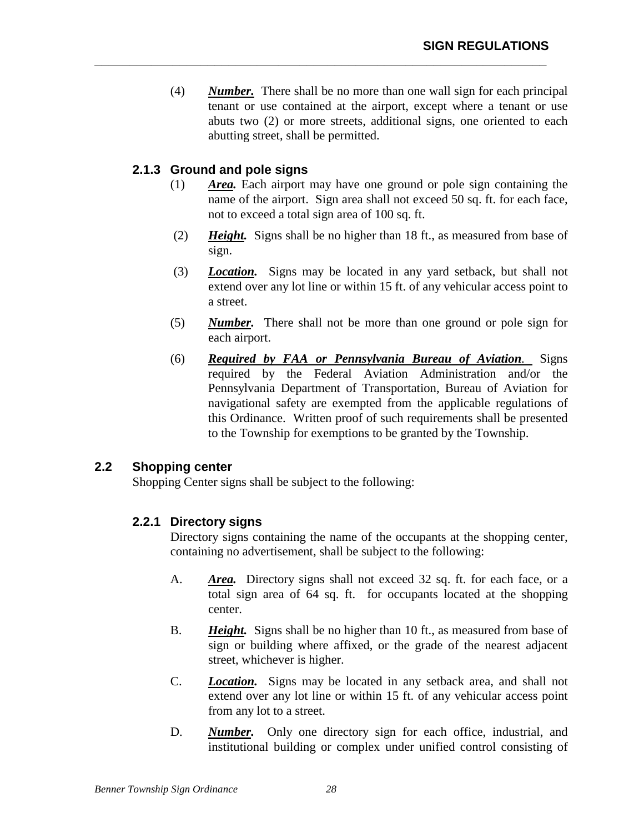(4) *Number.* There shall be no more than one wall sign for each principal tenant or use contained at the airport, except where a tenant or use abuts two (2) or more streets, additional signs, one oriented to each abutting street, shall be permitted.

**\_\_\_\_\_\_\_\_\_\_\_\_\_\_\_\_\_\_\_\_\_\_\_\_\_\_\_\_\_\_\_\_\_\_\_\_\_\_\_\_\_\_\_\_\_\_\_\_\_\_\_\_\_\_\_\_\_\_\_\_\_\_\_\_** 

## **2.1.3 Ground and pole signs**

- (1) *Area.* Each airport may have one ground or pole sign containing the name of the airport. Sign area shall not exceed 50 sq. ft. for each face, not to exceed a total sign area of 100 sq. ft.
- (2) *Height.* Signs shall be no higher than 18 ft., as measured from base of sign.
- (3) *Location.* Signs may be located in any yard setback, but shall not extend over any lot line or within 15 ft. of any vehicular access point to a street.
- (5) *Number.* There shall not be more than one ground or pole sign for each airport.
- (6) *Required by FAA or Pennsylvania Bureau of Aviation.* Signs required by the Federal Aviation Administration and/or the Pennsylvania Department of Transportation, Bureau of Aviation for navigational safety are exempted from the applicable regulations of this Ordinance. Written proof of such requirements shall be presented to the Township for exemptions to be granted by the Township.

## **2.2 Shopping center**

Shopping Center signs shall be subject to the following:

## **2.2.1 Directory signs**

Directory signs containing the name of the occupants at the shopping center, containing no advertisement, shall be subject to the following:

- A. *Area.* Directory signs shall not exceed 32 sq. ft. for each face, or a total sign area of 64 sq. ft. for occupants located at the shopping center.
- B. *Height.* Signs shall be no higher than 10 ft., as measured from base of sign or building where affixed, or the grade of the nearest adjacent street, whichever is higher.
- C. *Location.* Signs may be located in any setback area, and shall not extend over any lot line or within 15 ft. of any vehicular access point from any lot to a street.
- D. *Number.* Only one directory sign for each office, industrial, and institutional building or complex under unified control consisting of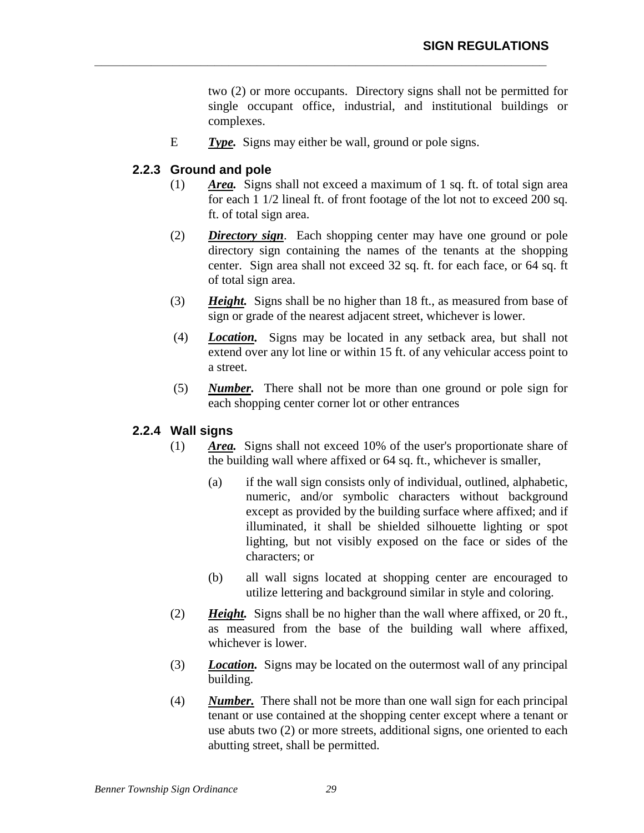two (2) or more occupants. Directory signs shall not be permitted for single occupant office, industrial, and institutional buildings or complexes.

E *Type.* Signs may either be wall, ground or pole signs.

**\_\_\_\_\_\_\_\_\_\_\_\_\_\_\_\_\_\_\_\_\_\_\_\_\_\_\_\_\_\_\_\_\_\_\_\_\_\_\_\_\_\_\_\_\_\_\_\_\_\_\_\_\_\_\_\_\_\_\_\_\_\_\_\_** 

## **2.2.3 Ground and pole**

- (1) *Area.* Signs shall not exceed a maximum of 1 sq. ft. of total sign area for each 1 1/2 lineal ft. of front footage of the lot not to exceed 200 sq. ft. of total sign area.
- (2) *Directory sign*. Each shopping center may have one ground or pole directory sign containing the names of the tenants at the shopping center. Sign area shall not exceed 32 sq. ft. for each face, or 64 sq. ft of total sign area.
- (3) *Height.* Signs shall be no higher than 18 ft., as measured from base of sign or grade of the nearest adjacent street, whichever is lower.
- (4) *Location.* Signs may be located in any setback area, but shall not extend over any lot line or within 15 ft. of any vehicular access point to a street.
- (5) *Number.* There shall not be more than one ground or pole sign for each shopping center corner lot or other entrances

## **2.2.4 Wall signs**

- (1) *Area.* Signs shall not exceed 10% of the user's proportionate share of the building wall where affixed or 64 sq. ft., whichever is smaller,
	- (a) if the wall sign consists only of individual, outlined, alphabetic, numeric, and/or symbolic characters without background except as provided by the building surface where affixed; and if illuminated, it shall be shielded silhouette lighting or spot lighting, but not visibly exposed on the face or sides of the characters; or
	- (b) all wall signs located at shopping center are encouraged to utilize lettering and background similar in style and coloring.
- (2) *Height.* Signs shall be no higher than the wall where affixed, or 20 ft., as measured from the base of the building wall where affixed, whichever is lower.
- (3) *Location.* Signs may be located on the outermost wall of any principal building.
- (4) *Number.* There shall not be more than one wall sign for each principal tenant or use contained at the shopping center except where a tenant or use abuts two (2) or more streets, additional signs, one oriented to each abutting street, shall be permitted.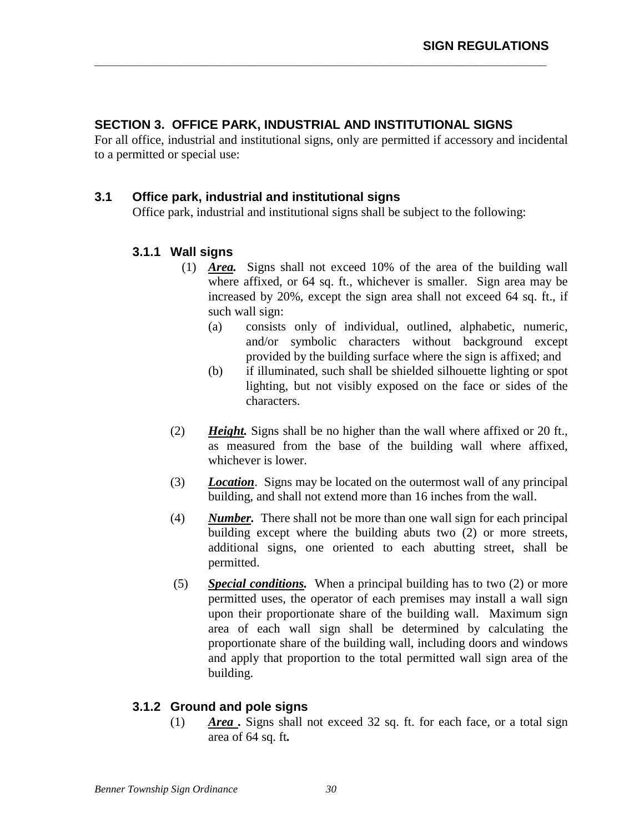## **SECTION 3. OFFICE PARK, INDUSTRIAL AND INSTITUTIONAL SIGNS**

For all office, industrial and institutional signs, only are permitted if accessory and incidental to a permitted or special use:

**\_\_\_\_\_\_\_\_\_\_\_\_\_\_\_\_\_\_\_\_\_\_\_\_\_\_\_\_\_\_\_\_\_\_\_\_\_\_\_\_\_\_\_\_\_\_\_\_\_\_\_\_\_\_\_\_\_\_\_\_\_\_\_\_** 

## **3.1 Office park, industrial and institutional signs**

Office park, industrial and institutional signs shall be subject to the following:

## **3.1.1 Wall signs**

- (1) *Area.* Signs shall not exceed 10% of the area of the building wall where affixed, or 64 sq. ft., whichever is smaller. Sign area may be increased by 20%, except the sign area shall not exceed 64 sq. ft., if such wall sign:
	- (a) consists only of individual, outlined, alphabetic, numeric, and/or symbolic characters without background except provided by the building surface where the sign is affixed; and
	- (b) if illuminated, such shall be shielded silhouette lighting or spot lighting, but not visibly exposed on the face or sides of the characters.
- (2) *Height.* Signs shall be no higher than the wall where affixed or 20 ft., as measured from the base of the building wall where affixed, whichever is lower.
- (3) *Location*. Signs may be located on the outermost wall of any principal building, and shall not extend more than 16 inches from the wall.
- (4) *Number.* There shall not be more than one wall sign for each principal building except where the building abuts two (2) or more streets, additional signs, one oriented to each abutting street, shall be permitted.
- (5) *Special conditions.* When a principal building has to two (2) or more permitted uses, the operator of each premises may install a wall sign upon their proportionate share of the building wall. Maximum sign area of each wall sign shall be determined by calculating the proportionate share of the building wall, including doors and windows and apply that proportion to the total permitted wall sign area of the building.

## **3.1.2 Ground and pole signs**

(1) *Area .* Signs shall not exceed 32 sq. ft. for each face, or a total sign area of 64 sq. ft*.*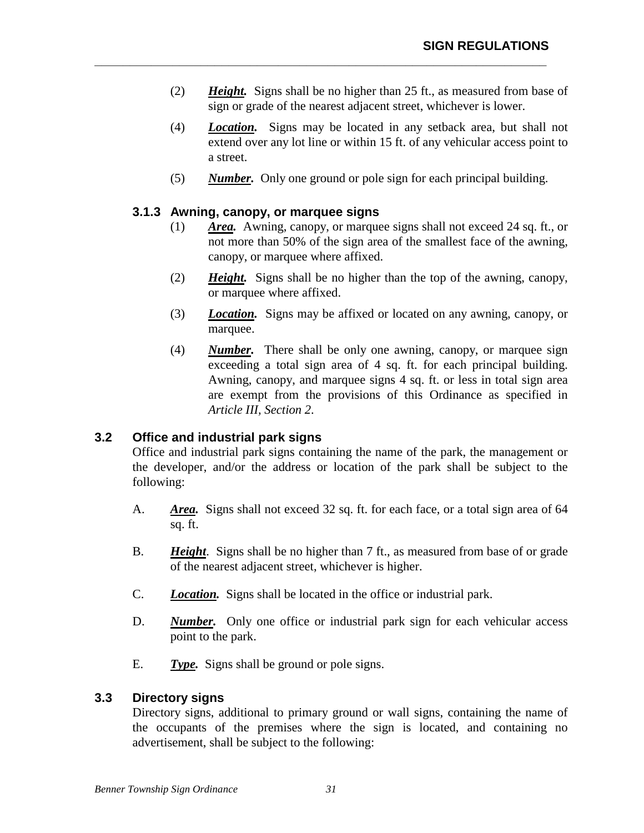(2) *Height.* Signs shall be no higher than 25 ft., as measured from base of sign or grade of the nearest adjacent street, whichever is lower.

**\_\_\_\_\_\_\_\_\_\_\_\_\_\_\_\_\_\_\_\_\_\_\_\_\_\_\_\_\_\_\_\_\_\_\_\_\_\_\_\_\_\_\_\_\_\_\_\_\_\_\_\_\_\_\_\_\_\_\_\_\_\_\_\_** 

- (4) *Location.* Signs may be located in any setback area, but shall not extend over any lot line or within 15 ft. of any vehicular access point to a street.
- (5) *Number.* Only one ground or pole sign for each principal building.

#### **3.1.3 Awning, canopy, or marquee signs**

- (1) *Area.* Awning, canopy, or marquee signs shall not exceed 24 sq. ft., or not more than 50% of the sign area of the smallest face of the awning, canopy, or marquee where affixed.
- (2) *Height.* Signs shall be no higher than the top of the awning, canopy, or marquee where affixed.
- (3) *Location.* Signs may be affixed or located on any awning, canopy, or marquee.
- (4) *Number.* There shall be only one awning, canopy, or marquee sign exceeding a total sign area of 4 sq. ft. for each principal building. Awning, canopy, and marquee signs 4 sq. ft. or less in total sign area are exempt from the provisions of this Ordinance as specified in *Article III, Section 2*.

## **3.2 Office and industrial park signs**

Office and industrial park signs containing the name of the park, the management or the developer, and/or the address or location of the park shall be subject to the following:

- A. *Area.* Signs shall not exceed 32 sq. ft. for each face, or a total sign area of 64 sq. ft.
- B. *Height*. Signs shall be no higher than 7 ft., as measured from base of or grade of the nearest adjacent street, whichever is higher.
- C. *Location.* Signs shall be located in the office or industrial park.
- D. *Number.* Only one office or industrial park sign for each vehicular access point to the park.
- E. *Type.* Signs shall be ground or pole signs.

#### **3.3 Directory signs**

Directory signs, additional to primary ground or wall signs, containing the name of the occupants of the premises where the sign is located, and containing no advertisement, shall be subject to the following: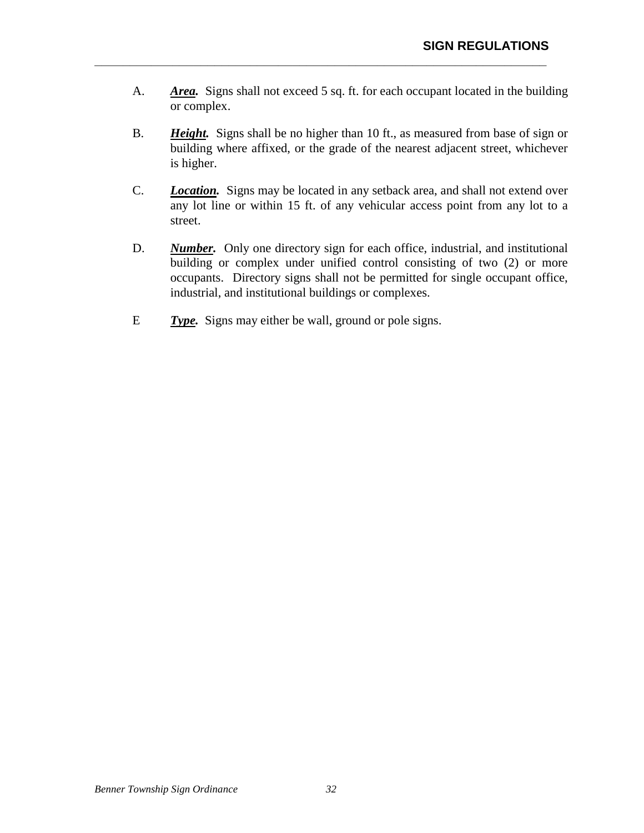A. *Area.* Signs shall not exceed 5 sq. ft. for each occupant located in the building or complex.

**\_\_\_\_\_\_\_\_\_\_\_\_\_\_\_\_\_\_\_\_\_\_\_\_\_\_\_\_\_\_\_\_\_\_\_\_\_\_\_\_\_\_\_\_\_\_\_\_\_\_\_\_\_\_\_\_\_\_\_\_\_\_\_\_** 

- B. *Height.* Signs shall be no higher than 10 ft., as measured from base of sign or building where affixed, or the grade of the nearest adjacent street, whichever is higher.
- C. *Location.* Signs may be located in any setback area, and shall not extend over any lot line or within 15 ft. of any vehicular access point from any lot to a street.
- D. *Number.* Only one directory sign for each office, industrial, and institutional building or complex under unified control consisting of two (2) or more occupants. Directory signs shall not be permitted for single occupant office, industrial, and institutional buildings or complexes.
- E *Type.* Signs may either be wall, ground or pole signs.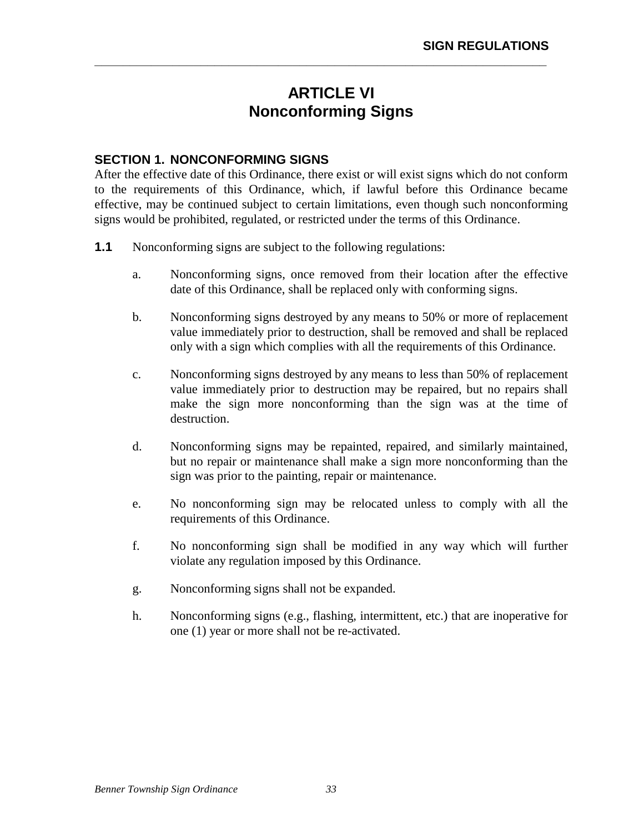# **ARTICLE VI Nonconforming Signs**

**\_\_\_\_\_\_\_\_\_\_\_\_\_\_\_\_\_\_\_\_\_\_\_\_\_\_\_\_\_\_\_\_\_\_\_\_\_\_\_\_\_\_\_\_\_\_\_\_\_\_\_\_\_\_\_\_\_\_\_\_\_\_\_\_** 

## **SECTION 1. NONCONFORMING SIGNS**

After the effective date of this Ordinance, there exist or will exist signs which do not conform to the requirements of this Ordinance, which, if lawful before this Ordinance became effective, may be continued subject to certain limitations, even though such nonconforming signs would be prohibited, regulated, or restricted under the terms of this Ordinance.

- **1.1** Nonconforming signs are subject to the following regulations:
	- a. Nonconforming signs, once removed from their location after the effective date of this Ordinance, shall be replaced only with conforming signs.
	- b. Nonconforming signs destroyed by any means to 50% or more of replacement value immediately prior to destruction, shall be removed and shall be replaced only with a sign which complies with all the requirements of this Ordinance.
	- c. Nonconforming signs destroyed by any means to less than 50% of replacement value immediately prior to destruction may be repaired, but no repairs shall make the sign more nonconforming than the sign was at the time of destruction.
	- d. Nonconforming signs may be repainted, repaired, and similarly maintained, but no repair or maintenance shall make a sign more nonconforming than the sign was prior to the painting, repair or maintenance.
	- e. No nonconforming sign may be relocated unless to comply with all the requirements of this Ordinance.
	- f. No nonconforming sign shall be modified in any way which will further violate any regulation imposed by this Ordinance.
	- g. Nonconforming signs shall not be expanded.
	- h. Nonconforming signs (e.g., flashing, intermittent, etc.) that are inoperative for one (1) year or more shall not be re-activated.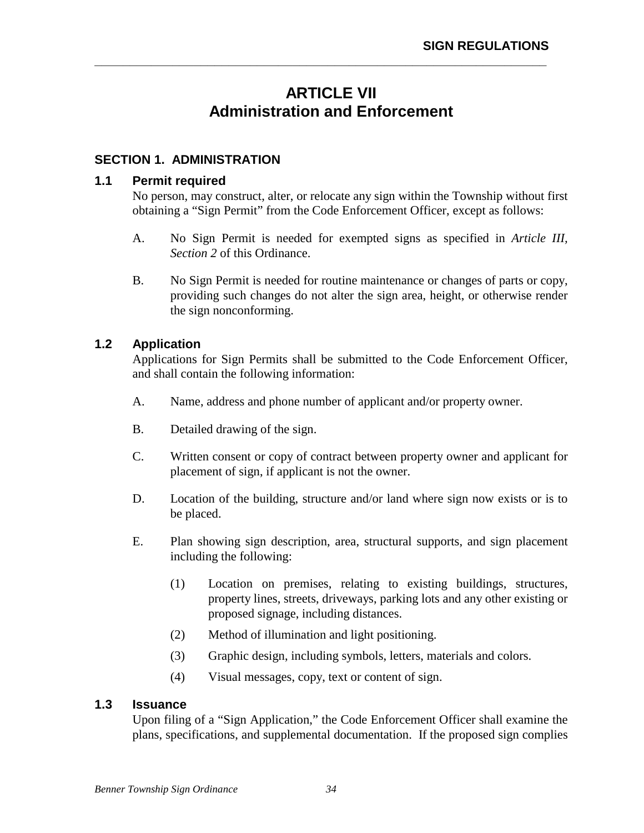# **ARTICLE VII Administration and Enforcement**

**\_\_\_\_\_\_\_\_\_\_\_\_\_\_\_\_\_\_\_\_\_\_\_\_\_\_\_\_\_\_\_\_\_\_\_\_\_\_\_\_\_\_\_\_\_\_\_\_\_\_\_\_\_\_\_\_\_\_\_\_\_\_\_\_** 

## **SECTION 1. ADMINISTRATION**

#### **1.1 Permit required**

No person, may construct, alter, or relocate any sign within the Township without first obtaining a "Sign Permit" from the Code Enforcement Officer, except as follows:

- A. No Sign Permit is needed for exempted signs as specified in *Article III, Section 2* of this Ordinance.
- B. No Sign Permit is needed for routine maintenance or changes of parts or copy, providing such changes do not alter the sign area, height, or otherwise render the sign nonconforming.

## **1.2 Application**

Applications for Sign Permits shall be submitted to the Code Enforcement Officer, and shall contain the following information:

- A. Name, address and phone number of applicant and/or property owner.
- B. Detailed drawing of the sign.
- C. Written consent or copy of contract between property owner and applicant for placement of sign, if applicant is not the owner.
- D. Location of the building, structure and/or land where sign now exists or is to be placed.
- E. Plan showing sign description, area, structural supports, and sign placement including the following:
	- (1) Location on premises, relating to existing buildings, structures, property lines, streets, driveways, parking lots and any other existing or proposed signage, including distances.
	- (2) Method of illumination and light positioning.
	- (3) Graphic design, including symbols, letters, materials and colors.
	- (4) Visual messages, copy, text or content of sign.

#### **1.3 Issuance**

Upon filing of a "Sign Application," the Code Enforcement Officer shall examine the plans, specifications, and supplemental documentation. If the proposed sign complies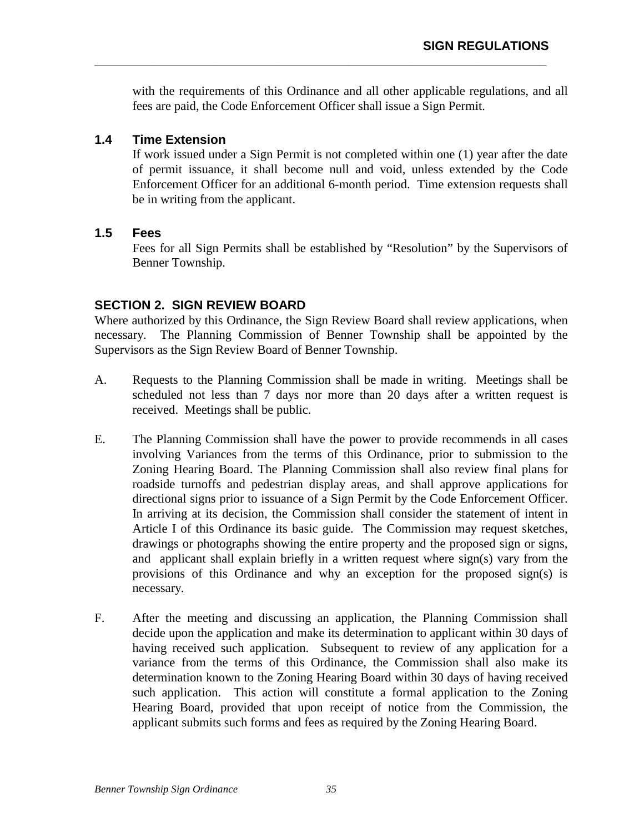with the requirements of this Ordinance and all other applicable regulations, and all fees are paid, the Code Enforcement Officer shall issue a Sign Permit.

**\_\_\_\_\_\_\_\_\_\_\_\_\_\_\_\_\_\_\_\_\_\_\_\_\_\_\_\_\_\_\_\_\_\_\_\_\_\_\_\_\_\_\_\_\_\_\_\_\_\_\_\_\_\_\_\_\_\_\_\_\_\_\_\_** 

## **1.4 Time Extension**

If work issued under a Sign Permit is not completed within one (1) year after the date of permit issuance, it shall become null and void, unless extended by the Code Enforcement Officer for an additional 6-month period. Time extension requests shall be in writing from the applicant.

## **1.5 Fees**

Fees for all Sign Permits shall be established by "Resolution" by the Supervisors of Benner Township.

## **SECTION 2. SIGN REVIEW BOARD**

Where authorized by this Ordinance, the Sign Review Board shall review applications, when necessary. The Planning Commission of Benner Township shall be appointed by the Supervisors as the Sign Review Board of Benner Township.

- A. Requests to the Planning Commission shall be made in writing. Meetings shall be scheduled not less than 7 days nor more than 20 days after a written request is received. Meetings shall be public.
- E. The Planning Commission shall have the power to provide recommends in all cases involving Variances from the terms of this Ordinance, prior to submission to the Zoning Hearing Board. The Planning Commission shall also review final plans for roadside turnoffs and pedestrian display areas, and shall approve applications for directional signs prior to issuance of a Sign Permit by the Code Enforcement Officer. In arriving at its decision, the Commission shall consider the statement of intent in Article I of this Ordinance its basic guide. The Commission may request sketches, drawings or photographs showing the entire property and the proposed sign or signs, and applicant shall explain briefly in a written request where sign(s) vary from the provisions of this Ordinance and why an exception for the proposed sign(s) is necessary.
- F. After the meeting and discussing an application, the Planning Commission shall decide upon the application and make its determination to applicant within 30 days of having received such application. Subsequent to review of any application for a variance from the terms of this Ordinance, the Commission shall also make its determination known to the Zoning Hearing Board within 30 days of having received such application. This action will constitute a formal application to the Zoning Hearing Board, provided that upon receipt of notice from the Commission, the applicant submits such forms and fees as required by the Zoning Hearing Board.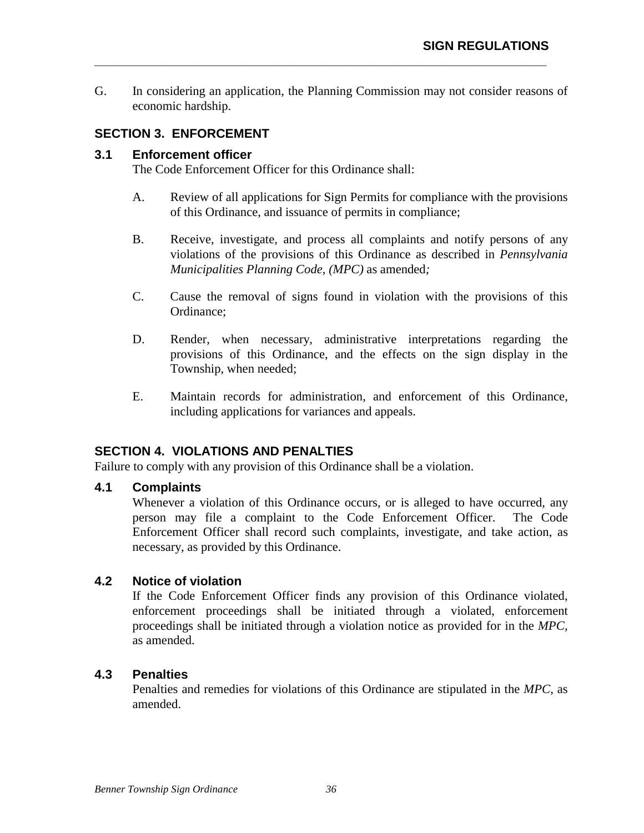G. In considering an application, the Planning Commission may not consider reasons of economic hardship.

**\_\_\_\_\_\_\_\_\_\_\_\_\_\_\_\_\_\_\_\_\_\_\_\_\_\_\_\_\_\_\_\_\_\_\_\_\_\_\_\_\_\_\_\_\_\_\_\_\_\_\_\_\_\_\_\_\_\_\_\_\_\_\_\_** 

## **SECTION 3. ENFORCEMENT**

#### **3.1 Enforcement officer**

The Code Enforcement Officer for this Ordinance shall:

- A. Review of all applications for Sign Permits for compliance with the provisions of this Ordinance, and issuance of permits in compliance;
- B. Receive, investigate, and process all complaints and notify persons of any violations of the provisions of this Ordinance as described in *Pennsylvania Municipalities Planning Code, (MPC)* as amended*;*
- C. Cause the removal of signs found in violation with the provisions of this Ordinance;
- D. Render, when necessary, administrative interpretations regarding the provisions of this Ordinance, and the effects on the sign display in the Township, when needed;
- E. Maintain records for administration, and enforcement of this Ordinance, including applications for variances and appeals.

## **SECTION 4. VIOLATIONS AND PENALTIES**

Failure to comply with any provision of this Ordinance shall be a violation.

## **4.1 Complaints**

Whenever a violation of this Ordinance occurs, or is alleged to have occurred, any person may file a complaint to the Code Enforcement Officer. The Code Enforcement Officer shall record such complaints, investigate, and take action, as necessary, as provided by this Ordinance.

## **4.2 Notice of violation**

If the Code Enforcement Officer finds any provision of this Ordinance violated, enforcement proceedings shall be initiated through a violated, enforcement proceedings shall be initiated through a violation notice as provided for in the *MPC,* as amended.

## **4.3 Penalties**

Penalties and remedies for violations of this Ordinance are stipulated in the *MPC*, as amended.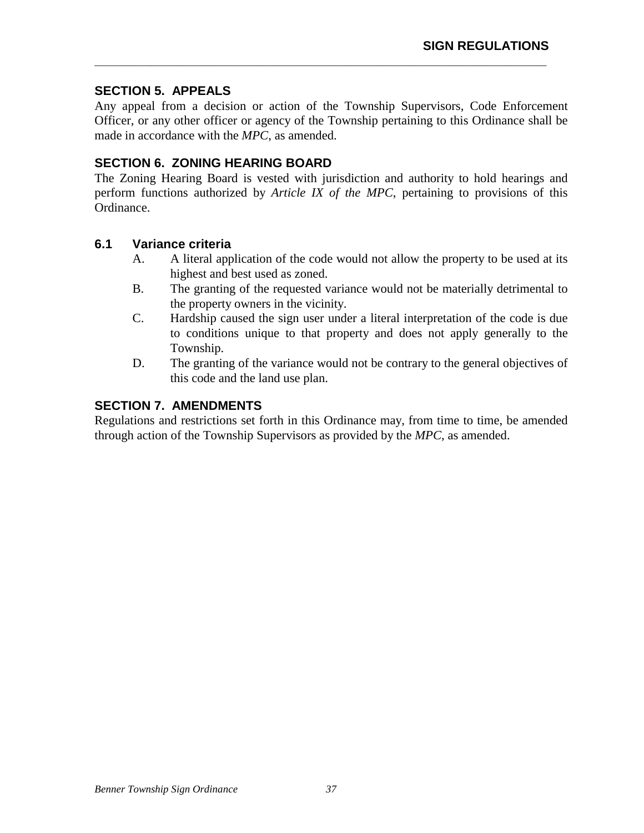## **SECTION 5. APPEALS**

Any appeal from a decision or action of the Township Supervisors, Code Enforcement Officer, or any other officer or agency of the Township pertaining to this Ordinance shall be made in accordance with the *MPC*, as amended.

**\_\_\_\_\_\_\_\_\_\_\_\_\_\_\_\_\_\_\_\_\_\_\_\_\_\_\_\_\_\_\_\_\_\_\_\_\_\_\_\_\_\_\_\_\_\_\_\_\_\_\_\_\_\_\_\_\_\_\_\_\_\_\_\_** 

## **SECTION 6. ZONING HEARING BOARD**

The Zoning Hearing Board is vested with jurisdiction and authority to hold hearings and perform functions authorized by *Article IX of the MPC*, pertaining to provisions of this Ordinance.

## **6.1 Variance criteria**

- A. A literal application of the code would not allow the property to be used at its highest and best used as zoned.
- B. The granting of the requested variance would not be materially detrimental to the property owners in the vicinity.
- C. Hardship caused the sign user under a literal interpretation of the code is due to conditions unique to that property and does not apply generally to the Township.
- D. The granting of the variance would not be contrary to the general objectives of this code and the land use plan.

## **SECTION 7. AMENDMENTS**

Regulations and restrictions set forth in this Ordinance may, from time to time, be amended through action of the Township Supervisors as provided by the *MPC*, as amended.